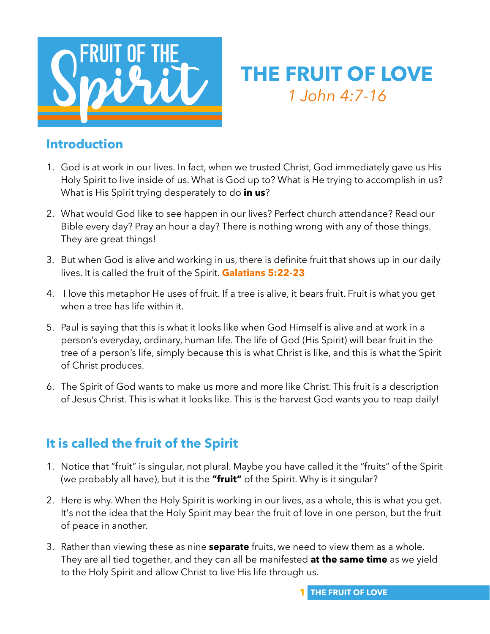

## **THE FRUIT OF LOVE** *1 John 4:7-16*

#### **Introduction**

- 1. God is at work in our lives. In fact, when we trusted Christ, God immediately gave us His Holy Spirit to live inside of us. What is God up to? What is He trying to accomplish in us? What is His Spirit trying desperately to do **in us**?
- 2. What would God like to see happen in our lives? Perfect church attendance? Read our Bible every day? Pray an hour a day? There is nothing wrong with any of those things. They are great things!
- 3. But when God is alive and working in us, there is definite fruit that shows up in our daily lives. It is called the fruit of the Spirit. **Galatians 5:22-23**
- 4. I love this metaphor He uses of fruit. If a tree is alive, it bears fruit. Fruit is what you get when a tree has life within it.
- 5. Paul is saying that this is what it looks like when God Himself is alive and at work in a person's everyday, ordinary, human life. The life of God (His Spirit) will bear fruit in the tree of a person's life, simply because this is what Christ is like, and this is what the Spirit of Christ produces.
- 6. The Spirit of God wants to make us more and more like Christ. This fruit is a description of Jesus Christ. This is what it looks like. This is the harvest God wants you to reap daily!

## **It is called the fruit of the Spirit**

- 1. Notice that "fruit" is singular, not plural. Maybe you have called it the "fruits" of the Spirit (we probably all have), but it is the **"fruit"** of the Spirit. Why is it singular?
- 2. Here is why. When the Holy Spirit is working in our lives, as a whole, this is what you get. It's not the idea that the Holy Spirit may bear the fruit of love in one person, but the fruit of peace in another.
- 3. Rather than viewing these as nine **separate** fruits, we need to view them as a whole. They are all tied together, and they can all be manifested **at the same time** as we yield to the Holy Spirit and allow Christ to live His life through us.

**1 THE FRUIT OF LOVE**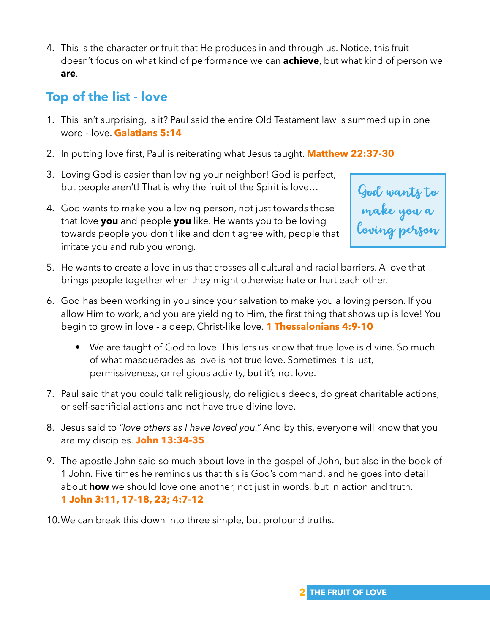4. This is the character or fruit that He produces in and through us. Notice, this fruit doesn't focus on what kind of performance we can **achieve**, but what kind of person we **are**.

## **Top of the list - love**

- 1. This isn't surprising, is it? Paul said the entire Old Testament law is summed up in one word - love. **Galatians 5:14**
- 2. In putting love first, Paul is reiterating what Jesus taught. **Matthew 22:37-30**
- 3. Loving God is easier than loving your neighbor! God is perfect, but people aren't! That is why the fruit of the Spirit is love…
- 4. God wants to make you a loving person, not just towards those that love **you** and people **you** like. He wants you to be loving towards people you don't like and don't agree with, people that irritate you and rub you wrong.



- 5. He wants to create a love in us that crosses all cultural and racial barriers. A love that brings people together when they might otherwise hate or hurt each other.
- 6. God has been working in you since your salvation to make you a loving person. If you allow Him to work, and you are yielding to Him, the first thing that shows up is love! You begin to grow in love - a deep, Christ-like love. **1 Thessalonians 4:9-10**
	- We are taught of God to love. This lets us know that true love is divine. So much of what masquerades as love is not true love. Sometimes it is lust, permissiveness, or religious activity, but it's not love.
- 7. Paul said that you could talk religiously, do religious deeds, do great charitable actions, or self-sacrificial actions and not have true divine love.
- 8. Jesus said to *"love others as I have loved you."* And by this, everyone will know that you are my disciples. **John 13:34-35**
- 9. The apostle John said so much about love in the gospel of John, but also in the book of 1 John. Five times he reminds us that this is God's command, and he goes into detail about **how** we should love one another, not just in words, but in action and truth. **1 John 3:11, 17-18, 23; 4:7-12**
- 10.We can break this down into three simple, but profound truths.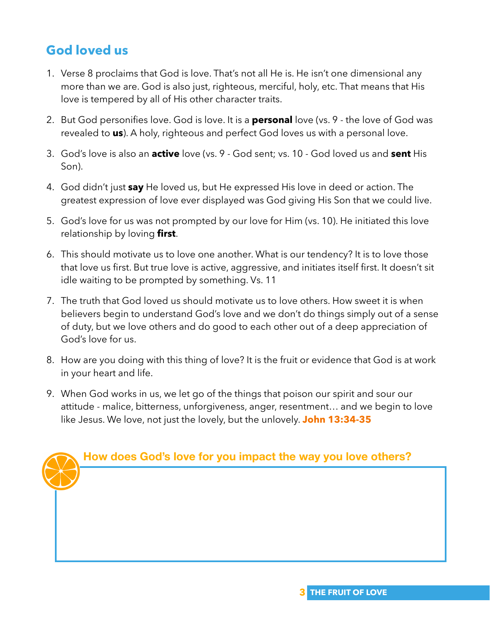## **God loved us**

- 1. Verse 8 proclaims that God is love. That's not all He is. He isn't one dimensional any more than we are. God is also just, righteous, merciful, holy, etc. That means that His love is tempered by all of His other character traits.
- 2. But God personifies love. God is love. It is a **personal** love (vs. 9 the love of God was revealed to **us**). A holy, righteous and perfect God loves us with a personal love.
- 3. God's love is also an **active** love (vs. 9 God sent; vs. 10 God loved us and **sent** His Son).
- 4. God didn't just **say** He loved us, but He expressed His love in deed or action. The greatest expression of love ever displayed was God giving His Son that we could live.
- 5. God's love for us was not prompted by our love for Him (vs. 10). He initiated this love relationship by loving **first**.
- 6. This should motivate us to love one another. What is our tendency? It is to love those that love us first. But true love is active, aggressive, and initiates itself first. It doesn't sit idle waiting to be prompted by something. Vs. 11
- 7. The truth that God loved us should motivate us to love others. How sweet it is when believers begin to understand God's love and we don't do things simply out of a sense of duty, but we love others and do good to each other out of a deep appreciation of God's love for us.
- 8. How are you doing with this thing of love? It is the fruit or evidence that God is at work in your heart and life.
- 9. When God works in us, we let go of the things that poison our spirit and sour our attitude - malice, bitterness, unforgiveness, anger, resentment… and we begin to love like Jesus. We love, not just the lovely, but the unlovely. **John 13:34-35**

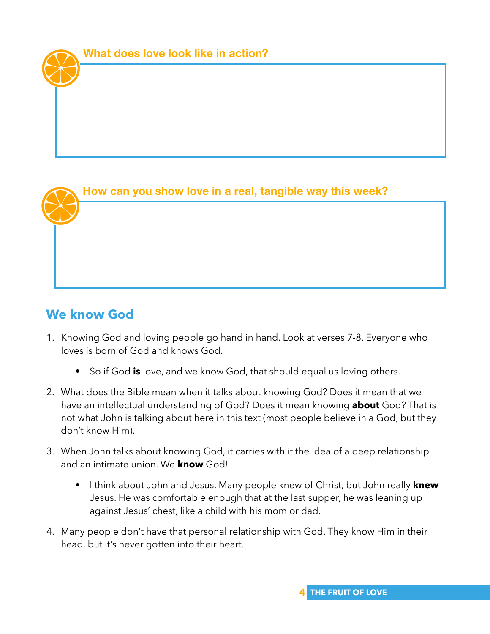#### **How can you show love in a real, tangible way this week?**

## **We know God**

- 1. Knowing God and loving people go hand in hand. Look at verses 7-8. Everyone who loves is born of God and knows God.
	- So if God **is** love, and we know God, that should equal us loving others.
- 2. What does the Bible mean when it talks about knowing God? Does it mean that we have an intellectual understanding of God? Does it mean knowing **about** God? That is not what John is talking about here in this text (most people believe in a God, but they don't know Him).
- 3. When John talks about knowing God, it carries with it the idea of a deep relationship and an intimate union. We **know** God!
	- I think about John and Jesus. Many people knew of Christ, but John really **knew**  Jesus. He was comfortable enough that at the last supper, he was leaning up against Jesus' chest, like a child with his mom or dad.
- 4. Many people don't have that personal relationship with God. They know Him in their head, but it's never gotten into their heart.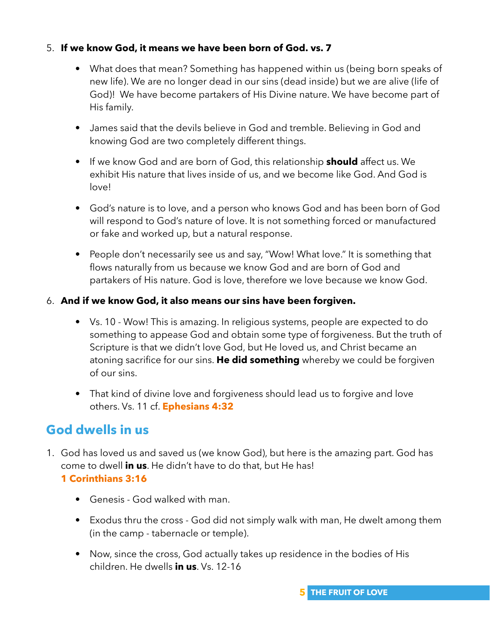#### 5. **If we know God, it means we have been born of God. vs. 7**

- What does that mean? Something has happened within us (being born speaks of new life). We are no longer dead in our sins (dead inside) but we are alive (life of God)! We have become partakers of His Divine nature. We have become part of His family.
- James said that the devils believe in God and tremble. Believing in God and knowing God are two completely different things.
- If we know God and are born of God, this relationship **should** affect us. We exhibit His nature that lives inside of us, and we become like God. And God is love!
- God's nature is to love, and a person who knows God and has been born of God will respond to God's nature of love. It is not something forced or manufactured or fake and worked up, but a natural response.
- People don't necessarily see us and say, "Wow! What love." It is something that flows naturally from us because we know God and are born of God and partakers of His nature. God is love, therefore we love because we know God.

#### 6. **And if we know God, it also means our sins have been forgiven.**

- Vs. 10 Wow! This is amazing. In religious systems, people are expected to do something to appease God and obtain some type of forgiveness. But the truth of Scripture is that we didn't love God, but He loved us, and Christ became an atoning sacrifice for our sins. **He did something** whereby we could be forgiven of our sins.
- That kind of divine love and forgiveness should lead us to forgive and love others. Vs. 11 cf. **Ephesians 4:32**

## **God dwells in us**

- 1. God has loved us and saved us (we know God), but here is the amazing part. God has come to dwell **in us**. He didn't have to do that, but He has! **1 Corinthians 3:16**
	- Genesis God walked with man.
	- Exodus thru the cross God did not simply walk with man, He dwelt among them (in the camp - tabernacle or temple).
	- Now, since the cross, God actually takes up residence in the bodies of His children. He dwells **in us**. Vs. 12-16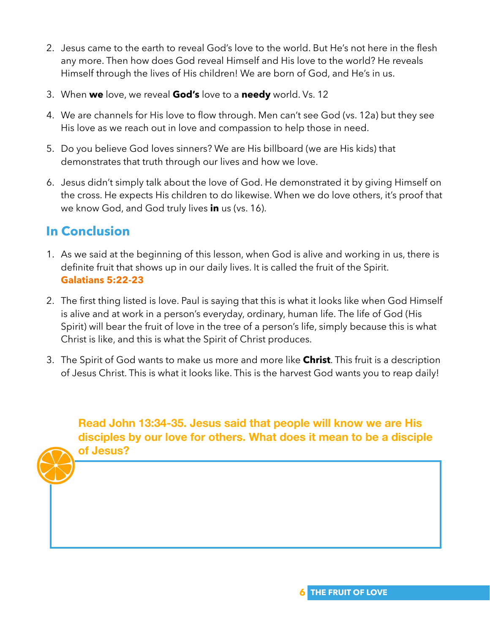- 2. Jesus came to the earth to reveal God's love to the world. But He's not here in the flesh any more. Then how does God reveal Himself and His love to the world? He reveals Himself through the lives of His children! We are born of God, and He's in us.
- 3. When **we** love, we reveal **God's** love to a **needy** world. Vs. 12
- 4. We are channels for His love to flow through. Men can't see God (vs. 12a) but they see His love as we reach out in love and compassion to help those in need.
- 5. Do you believe God loves sinners? We are His billboard (we are His kids) that demonstrates that truth through our lives and how we love.
- 6. Jesus didn't simply talk about the love of God. He demonstrated it by giving Himself on the cross. He expects His children to do likewise. When we do love others, it's proof that we know God, and God truly lives **in** us (vs. 16).

## **In Conclusion**

- 1. As we said at the beginning of this lesson, when God is alive and working in us, there is definite fruit that shows up in our daily lives. It is called the fruit of the Spirit. **Galatians 5:22-23**
- 2. The first thing listed is love. Paul is saying that this is what it looks like when God Himself is alive and at work in a person's everyday, ordinary, human life. The life of God (His Spirit) will bear the fruit of love in the tree of a person's life, simply because this is what Christ is like, and this is what the Spirit of Christ produces.
- 3. The Spirit of God wants to make us more and more like **Christ**. This fruit is a description of Jesus Christ. This is what it looks like. This is the harvest God wants you to reap daily!

**Read John 13:34-35. Jesus said that people will know we are His disciples by our love for others. What does it mean to be a disciple of Jesus?**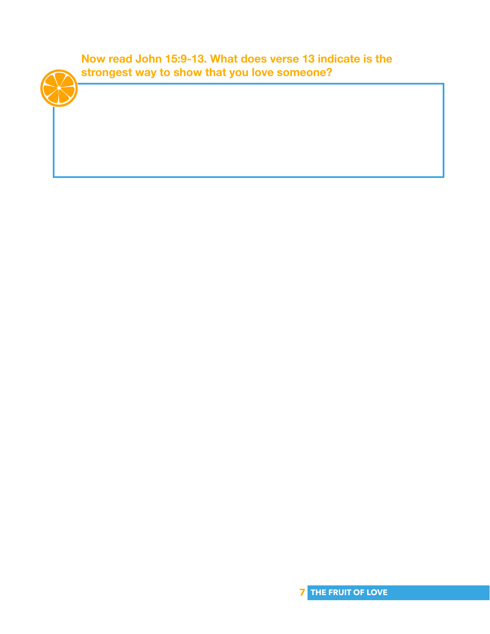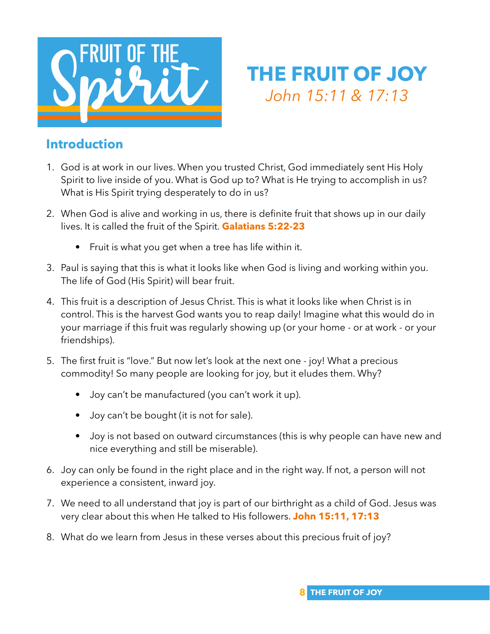

## **THE FRUIT OF JOY** *John 15:11 & 17:13*

#### **Introduction**

- 1. God is at work in our lives. When you trusted Christ, God immediately sent His Holy Spirit to live inside of you. What is God up to? What is He trying to accomplish in us? What is His Spirit trying desperately to do in us?
- 2. When God is alive and working in us, there is definite fruit that shows up in our daily lives. It is called the fruit of the Spirit. **Galatians 5:22-23**
	- Fruit is what you get when a tree has life within it.
- 3. Paul is saying that this is what it looks like when God is living and working within you. The life of God (His Spirit) will bear fruit.
- 4. This fruit is a description of Jesus Christ. This is what it looks like when Christ is in control. This is the harvest God wants you to reap daily! Imagine what this would do in your marriage if this fruit was regularly showing up (or your home - or at work - or your friendships).
- 5. The first fruit is "love." But now let's look at the next one joy! What a precious commodity! So many people are looking for joy, but it eludes them. Why?
	- Joy can't be manufactured (you can't work it up).
	- Joy can't be bought (it is not for sale).
	- Joy is not based on outward circumstances (this is why people can have new and nice everything and still be miserable).
- 6. Joy can only be found in the right place and in the right way. If not, a person will not experience a consistent, inward joy.
- 7. We need to all understand that joy is part of our birthright as a child of God. Jesus was very clear about this when He talked to His followers. **John 15:11, 17:13**
- 8. What do we learn from Jesus in these verses about this precious fruit of joy?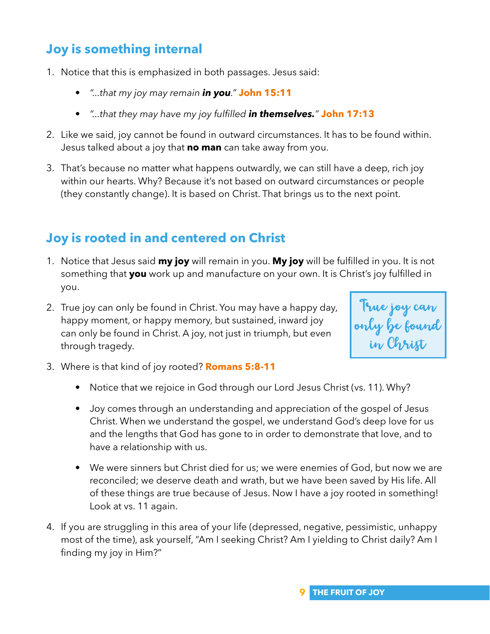## **Joy is something internal**

- 1. Notice that this is emphasized in both passages. Jesus said:
	- *"...that my joy may remain in you."* **John 15:11**
	- *"...that they may have my joy fulfilled in themselves."* **John 17:13**
- 2. Like we said, joy cannot be found in outward circumstances. It has to be found within. Jesus talked about a joy that **no man** can take away from you.
- 3. That's because no matter what happens outwardly, we can still have a deep, rich joy within our hearts. Why? Because it's not based on outward circumstances or people (they constantly change). It is based on Christ. That brings us to the next point.

## **Joy is rooted in and centered on Christ**

- 1. Notice that Jesus said **my joy** will remain in you. **My joy** will be fulfilled in you. It is not something that **you** work up and manufacture on your own. It is Christ's joy fulfilled in you.
- 2. True joy can only be found in Christ. You may have a happy day, happy moment, or happy memory, but sustained, inward joy can only be found in Christ. A joy, not just in triumph, but even through tragedy.

True joy can only be found in Christ

- 3. Where is that kind of joy rooted? **Romans 5:8-11** 
	- Notice that we rejoice in God through our Lord Jesus Christ (vs. 11). Why?
	- Joy comes through an understanding and appreciation of the gospel of Jesus Christ. When we understand the gospel, we understand God's deep love for us and the lengths that God has gone to in order to demonstrate that love, and to have a relationship with us.
	- We were sinners but Christ died for us; we were enemies of God, but now we are reconciled; we deserve death and wrath, but we have been saved by His life. All of these things are true because of Jesus. Now I have a joy rooted in something! Look at vs. 11 again.
- 4. If you are struggling in this area of your life (depressed, negative, pessimistic, unhappy most of the time), ask yourself, "Am I seeking Christ? Am I yielding to Christ daily? Am I finding my joy in Him?"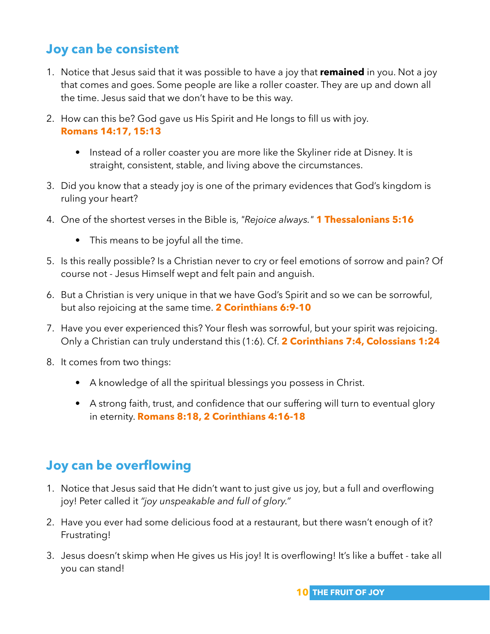## **Joy can be consistent**

- 1. Notice that Jesus said that it was possible to have a joy that **remained** in you. Not a joy that comes and goes. Some people are like a roller coaster. They are up and down all the time. Jesus said that we don't have to be this way.
- 2. How can this be? God gave us His Spirit and He longs to fill us with joy. **Romans 14:17, 15:13** 
	- Instead of a roller coaster you are more like the Skyliner ride at Disney. It is straight, consistent, stable, and living above the circumstances.
- 3. Did you know that a steady joy is one of the primary evidences that God's kingdom is ruling your heart?
- 4. One of the shortest verses in the Bible is, *"Rejoice always."* **1 Thessalonians 5:16**
	- This means to be joyful all the time.
- 5. Is this really possible? Is a Christian never to cry or feel emotions of sorrow and pain? Of course not - Jesus Himself wept and felt pain and anguish.
- 6. But a Christian is very unique in that we have God's Spirit and so we can be sorrowful, but also rejoicing at the same time. **2 Corinthians 6:9-10**
- 7. Have you ever experienced this? Your flesh was sorrowful, but your spirit was rejoicing. Only a Christian can truly understand this (1:6). Cf. **2 Corinthians 7:4, Colossians 1:24**
- 8. It comes from two things:
	- A knowledge of all the spiritual blessings you possess in Christ.
	- A strong faith, trust, and confidence that our suffering will turn to eventual glory in eternity. **Romans 8:18, 2 Corinthians 4:16-18**

## **Joy can be overflowing**

- 1. Notice that Jesus said that He didn't want to just give us joy, but a full and overflowing joy! Peter called it *"joy unspeakable and full of glory."*
- 2. Have you ever had some delicious food at a restaurant, but there wasn't enough of it? Frustrating!
- 3. Jesus doesn't skimp when He gives us His joy! It is overflowing! It's like a buffet take all you can stand!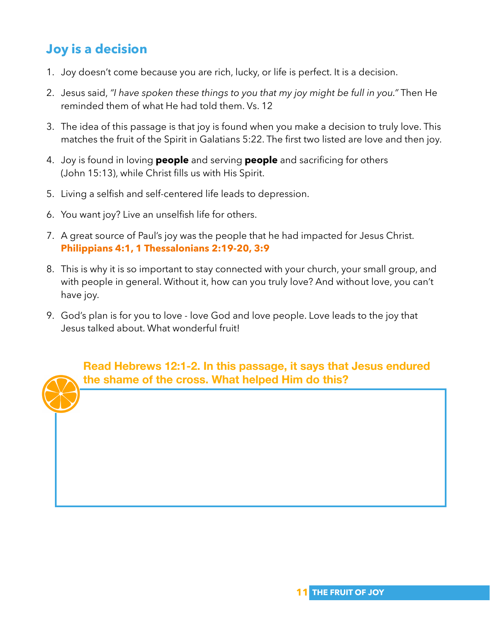## **Joy is a decision**

- 1. Joy doesn't come because you are rich, lucky, or life is perfect. It is a decision.
- 2. Jesus said, *"I have spoken these things to you that my joy might be full in you."* Then He reminded them of what He had told them. Vs. 12
- 3. The idea of this passage is that joy is found when you make a decision to truly love. This matches the fruit of the Spirit in Galatians 5:22. The first two listed are love and then joy.
- 4. Joy is found in loving **people** and serving **people** and sacrificing for others (John 15:13), while Christ fills us with His Spirit.
- 5. Living a selfish and self-centered life leads to depression.
- 6. You want joy? Live an unselfish life for others.
- 7. A great source of Paul's joy was the people that he had impacted for Jesus Christ. **Philippians 4:1, 1 Thessalonians 2:19-20, 3:9**
- 8. This is why it is so important to stay connected with your church, your small group, and with people in general. Without it, how can you truly love? And without love, you can't have joy.
- 9. God's plan is for you to love love God and love people. Love leads to the joy that Jesus talked about. What wonderful fruit!

**Read Hebrews 12:1-2. In this passage, it says that Jesus endured the shame of the cross. What helped Him do this?**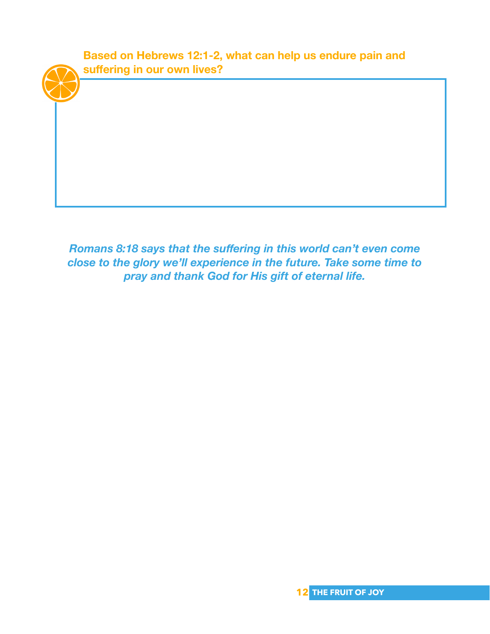

*Romans 8:18 says that the suffering in this world can't even come close to the glory we'll experience in the future. Take some time to pray and thank God for His gift of eternal life.*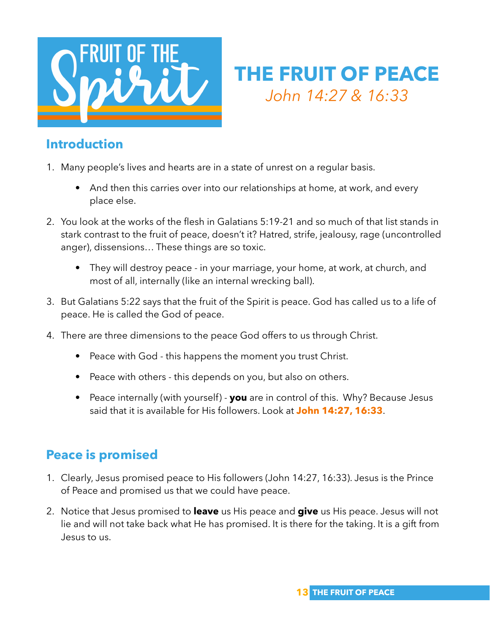

# **THE FRUIT OF PEACE** *John 14:27 & 16:33*

#### **Introduction**

- 1. Many people's lives and hearts are in a state of unrest on a regular basis.
	- And then this carries over into our relationships at home, at work, and every place else.
- 2. You look at the works of the flesh in Galatians 5:19-21 and so much of that list stands in stark contrast to the fruit of peace, doesn't it? Hatred, strife, jealousy, rage (uncontrolled anger), dissensions… These things are so toxic.
	- They will destroy peace in your marriage, your home, at work, at church, and most of all, internally (like an internal wrecking ball).
- 3. But Galatians 5:22 says that the fruit of the Spirit is peace. God has called us to a life of peace. He is called the God of peace.
- 4. There are three dimensions to the peace God offers to us through Christ.
	- Peace with God this happens the moment you trust Christ.
	- Peace with others this depends on you, but also on others.
	- Peace internally (with yourself) **you** are in control of this. Why? Because Jesus said that it is available for His followers. Look at **John 14:27, 16:33**.

## **Peace is promised**

- 1. Clearly, Jesus promised peace to His followers (John 14:27, 16:33). Jesus is the Prince of Peace and promised us that we could have peace.
- 2. Notice that Jesus promised to **leave** us His peace and **give** us His peace. Jesus will not lie and will not take back what He has promised. It is there for the taking. It is a gift from Jesus to us.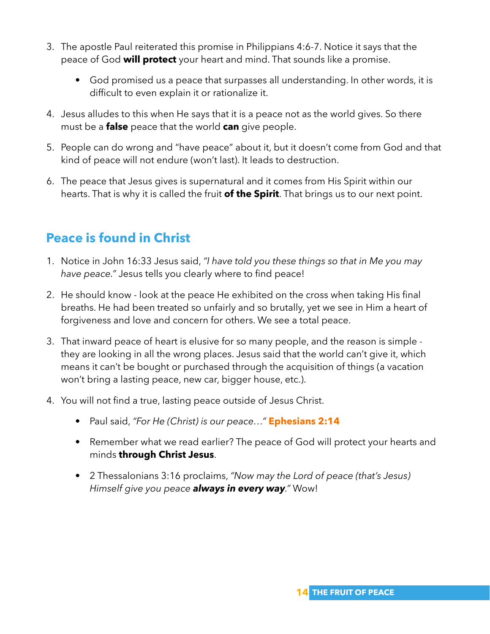- 3. The apostle Paul reiterated this promise in Philippians 4:6-7. Notice it says that the peace of God **will protect** your heart and mind. That sounds like a promise.
	- God promised us a peace that surpasses all understanding. In other words, it is difficult to even explain it or rationalize it.
- 4. Jesus alludes to this when He says that it is a peace not as the world gives. So there must be a **false** peace that the world **can** give people.
- 5. People can do wrong and "have peace" about it, but it doesn't come from God and that kind of peace will not endure (won't last). It leads to destruction.
- 6. The peace that Jesus gives is supernatural and it comes from His Spirit within our hearts. That is why it is called the fruit **of the Spirit**. That brings us to our next point.

## **Peace is found in Christ**

- 1. Notice in John 16:33 Jesus said, *"I have told you these things so that in Me you may have peace."* Jesus tells you clearly where to find peace!
- 2. He should know look at the peace He exhibited on the cross when taking His final breaths. He had been treated so unfairly and so brutally, yet we see in Him a heart of forgiveness and love and concern for others. We see a total peace.
- 3. That inward peace of heart is elusive for so many people, and the reason is simple they are looking in all the wrong places. Jesus said that the world can't give it, which means it can't be bought or purchased through the acquisition of things (a vacation won't bring a lasting peace, new car, bigger house, etc.).
- 4. You will not find a true, lasting peace outside of Jesus Christ.
	- Paul said, *"For He (Christ) is our peace…"* **Ephesians 2:14**
	- Remember what we read earlier? The peace of God will protect your hearts and minds **through Christ Jesus**.
	- 2 Thessalonians 3:16 proclaims, *"Now may the Lord of peace (that's Jesus) Himself give you peace always in every way."* Wow!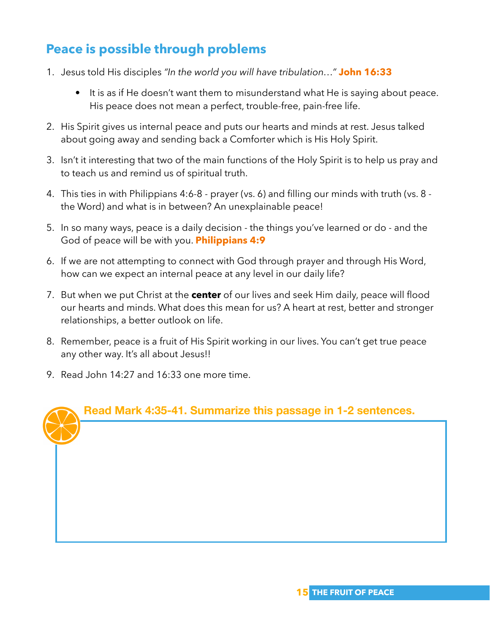## **Peace is possible through problems**

- 1. Jesus told His disciples *"In the world you will have tribulation…"* **John 16:33**
	- It is as if He doesn't want them to misunderstand what He is saying about peace. His peace does not mean a perfect, trouble-free, pain-free life.
- 2. His Spirit gives us internal peace and puts our hearts and minds at rest. Jesus talked about going away and sending back a Comforter which is His Holy Spirit.
- 3. Isn't it interesting that two of the main functions of the Holy Spirit is to help us pray and to teach us and remind us of spiritual truth.
- 4. This ties in with Philippians 4:6-8 prayer (vs. 6) and filling our minds with truth (vs. 8 the Word) and what is in between? An unexplainable peace!
- 5. In so many ways, peace is a daily decision the things you've learned or do and the God of peace will be with you. **Philippians 4:9**
- 6. If we are not attempting to connect with God through prayer and through His Word, how can we expect an internal peace at any level in our daily life?
- 7. But when we put Christ at the **center** of our lives and seek Him daily, peace will flood our hearts and minds. What does this mean for us? A heart at rest, better and stronger relationships, a better outlook on life.
- 8. Remember, peace is a fruit of His Spirit working in our lives. You can't get true peace any other way. It's all about Jesus!!
- 9. Read John 14:27 and 16:33 one more time.

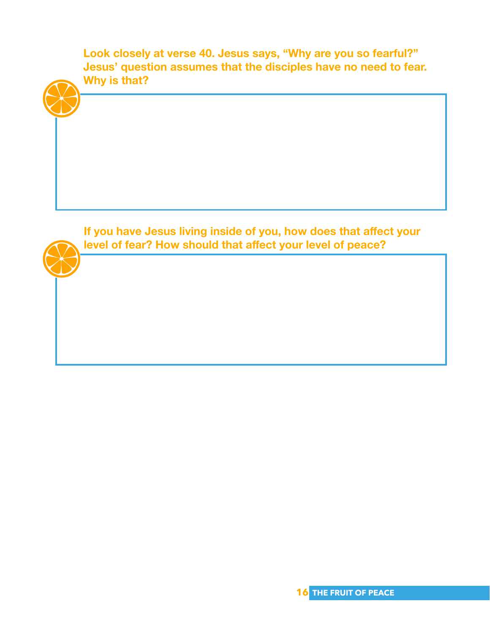**Look closely at verse 40. Jesus says, "Why are you so fearful?" Jesus' question assumes that the disciples have no need to fear. Why is that?** 

**If you have Jesus living inside of you, how does that affect your level of fear? How should that affect your level of peace?**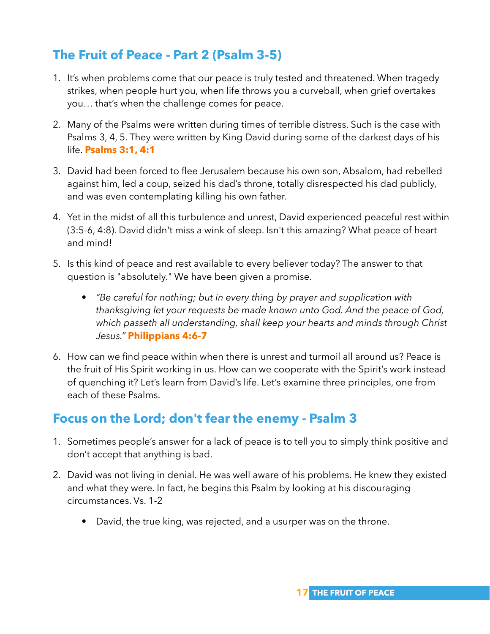## **The Fruit of Peace - Part 2 (Psalm 3-5)**

- 1. It's when problems come that our peace is truly tested and threatened. When tragedy strikes, when people hurt you, when life throws you a curveball, when grief overtakes you… that's when the challenge comes for peace.
- 2. Many of the Psalms were written during times of terrible distress. Such is the case with Psalms 3, 4, 5. They were written by King David during some of the darkest days of his life. **Psalms 3:1, 4:1**
- 3. David had been forced to flee Jerusalem because his own son, Absalom, had rebelled against him, led a coup, seized his dad's throne, totally disrespected his dad publicly, and was even contemplating killing his own father.
- 4. Yet in the midst of all this turbulence and unrest, David experienced peaceful rest within (3:5-6, 4:8). David didn't miss a wink of sleep. Isn't this amazing? What peace of heart and mind!
- 5. Is this kind of peace and rest available to every believer today? The answer to that question is "absolutely." We have been given a promise.
	- *"Be careful for nothing; but in every thing by prayer and supplication with thanksgiving let your requests be made known unto God. And the peace of God, which passeth all understanding, shall keep your hearts and minds through Christ Jesus."* **Philippians 4:6-7**
- 6. How can we find peace within when there is unrest and turmoil all around us? Peace is the fruit of His Spirit working in us. How can we cooperate with the Spirit's work instead of quenching it? Let's learn from David's life. Let's examine three principles, one from each of these Psalms.

## **Focus on the Lord; don't fear the enemy - Psalm 3**

- 1. Sometimes people's answer for a lack of peace is to tell you to simply think positive and don't accept that anything is bad.
- 2. David was not living in denial. He was well aware of his problems. He knew they existed and what they were. In fact, he begins this Psalm by looking at his discouraging circumstances. Vs. 1-2
	- David, the true king, was rejected, and a usurper was on the throne.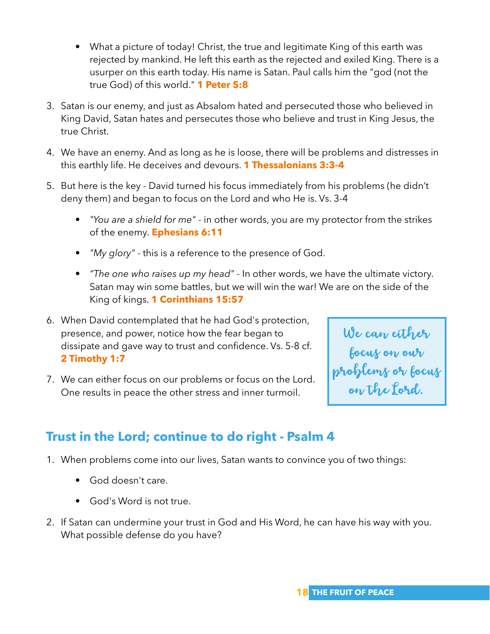- What a picture of today! Christ, the true and legitimate King of this earth was rejected by mankind. He left this earth as the rejected and exiled King. There is a usurper on this earth today. His name is Satan. Paul calls him the "god (not the true God) of this world." **1 Peter 5:8**
- 3. Satan is our enemy, and just as Absalom hated and persecuted those who believed in King David, Satan hates and persecutes those who believe and trust in King Jesus, the true Christ.
- 4. We have an enemy. And as long as he is loose, there will be problems and distresses in this earthly life. He deceives and devours. **1 Thessalonians 3:3-4**
- 5. But here is the key David turned his focus immediately from his problems (he didn't deny them) and began to focus on the Lord and who He is. Vs. 3-4
	- *"You are a shield for me"* in other words, you are my protector from the strikes of the enemy. **Ephesians 6:11**
	- *"My glory"* this is a reference to the presence of God.
	- *"The one who raises up my head"* In other words, we have the ultimate victory. Satan may win some battles, but we will win the war! We are on the side of the King of kings. **1 Corinthians 15:57**
- 6. When David contemplated that he had God's protection, presence, and power, notice how the fear began to dissipate and gave way to trust and confidence. Vs. 5-8 cf. **2 Timothy 1:7**
- 7. We can either focus on our problems or focus on the Lord. One results in peace the other stress and inner turmoil.

We can either focus on our problems or focus on the Lord.

## **Trust in the Lord; continue to do right - Psalm 4**

- 1. When problems come into our lives, Satan wants to convince you of two things:
	- God doesn't care.
	- God's Word is not true.
- 2. If Satan can undermine your trust in God and His Word, he can have his way with you. What possible defense do you have?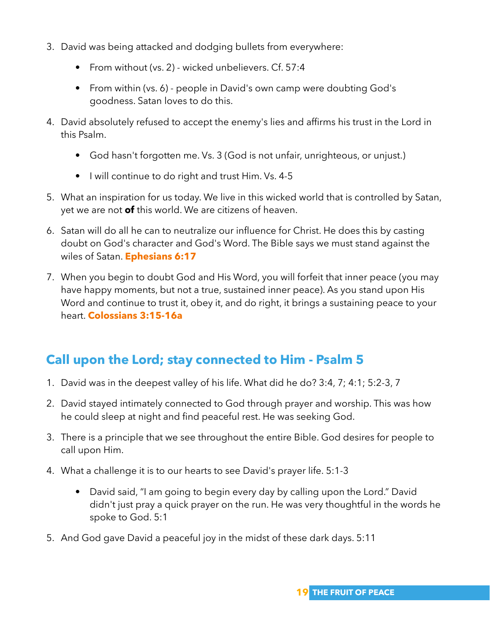- 3. David was being attacked and dodging bullets from everywhere:
	- From without (vs. 2) wicked unbelievers. Cf. 57:4
	- From within (vs. 6) people in David's own camp were doubting God's goodness. Satan loves to do this.
- 4. David absolutely refused to accept the enemy's lies and affirms his trust in the Lord in this Psalm.
	- God hasn't forgotten me. Vs. 3 (God is not unfair, unrighteous, or unjust.)
	- I will continue to do right and trust Him. Vs. 4-5
- 5. What an inspiration for us today. We live in this wicked world that is controlled by Satan, yet we are not **of** this world. We are citizens of heaven.
- 6. Satan will do all he can to neutralize our influence for Christ. He does this by casting doubt on God's character and God's Word. The Bible says we must stand against the wiles of Satan. **Ephesians 6:17**
- 7. When you begin to doubt God and His Word, you will forfeit that inner peace (you may have happy moments, but not a true, sustained inner peace). As you stand upon His Word and continue to trust it, obey it, and do right, it brings a sustaining peace to your heart. **Colossians 3:15-16a**

## **Call upon the Lord; stay connected to Him - Psalm 5**

- 1. David was in the deepest valley of his life. What did he do? 3:4, 7; 4:1; 5:2-3, 7
- 2. David stayed intimately connected to God through prayer and worship. This was how he could sleep at night and find peaceful rest. He was seeking God.
- 3. There is a principle that we see throughout the entire Bible. God desires for people to call upon Him.
- 4. What a challenge it is to our hearts to see David's prayer life. 5:1-3
	- David said, "I am going to begin every day by calling upon the Lord." David didn't just pray a quick prayer on the run. He was very thoughtful in the words he spoke to God. 5:1
- 5. And God gave David a peaceful joy in the midst of these dark days. 5:11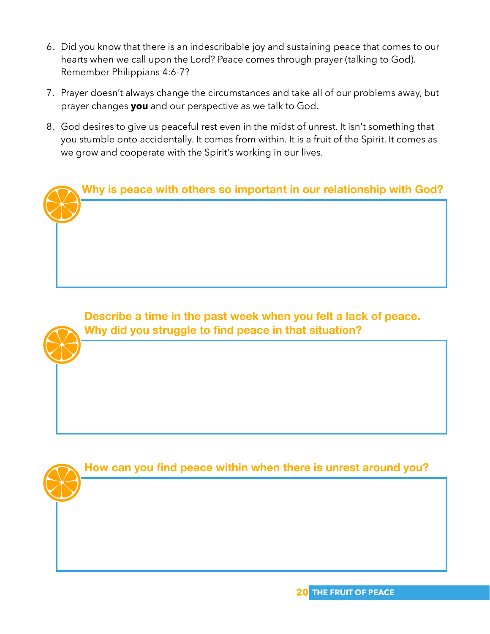- 6. Did you know that there is an indescribable joy and sustaining peace that comes to our hearts when we call upon the Lord? Peace comes through prayer (talking to God). Remember Philippians 4:6-7?
- 7. Prayer doesn't always change the circumstances and take all of our problems away, but prayer changes **you** and our perspective as we talk to God.
- 8. God desires to give us peaceful rest even in the midst of unrest. It isn't something that you stumble onto accidentally. It comes from within. It is a fruit of the Spirit. It comes as we grow and cooperate with the Spirit's working in our lives.



**Describe a time in the past week when you felt a lack of peace. Why did you struggle to find peace in that situation?** 

**How can you find peace within when there is unrest around you?**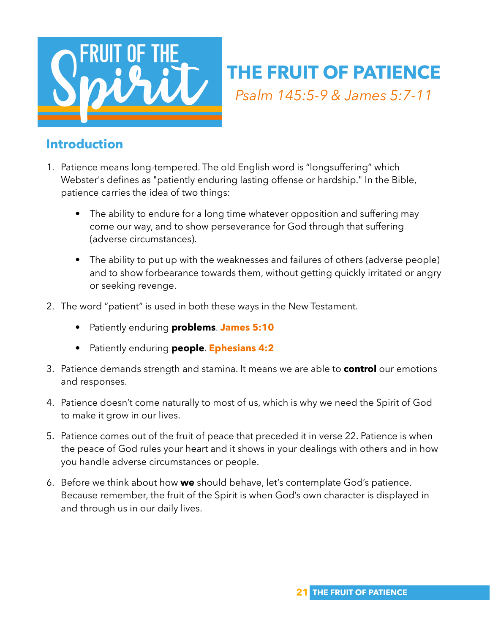

## **THE FRUIT OF PATIENCE** *Psalm 145:5-9 & James 5:7-11*

#### **Introduction**

- 1. Patience means long-tempered. The old English word is "longsuffering" which Webster's defines as "patiently enduring lasting offense or hardship." In the Bible, patience carries the idea of two things:
	- The ability to endure for a long time whatever opposition and suffering may come our way, and to show perseverance for God through that suffering (adverse circumstances).
	- The ability to put up with the weaknesses and failures of others (adverse people) and to show forbearance towards them, without getting quickly irritated or angry or seeking revenge.
- 2. The word "patient" is used in both these ways in the New Testament.
	- Patiently enduring **problems**. **James 5:10**
	- Patiently enduring **people**. **Ephesians 4:2**
- 3. Patience demands strength and stamina. It means we are able to **control** our emotions and responses.
- 4. Patience doesn't come naturally to most of us, which is why we need the Spirit of God to make it grow in our lives.
- 5. Patience comes out of the fruit of peace that preceded it in verse 22. Patience is when the peace of God rules your heart and it shows in your dealings with others and in how you handle adverse circumstances or people.
- 6. Before we think about how **we** should behave, let's contemplate God's patience. Because remember, the fruit of the Spirit is when God's own character is displayed in and through us in our daily lives.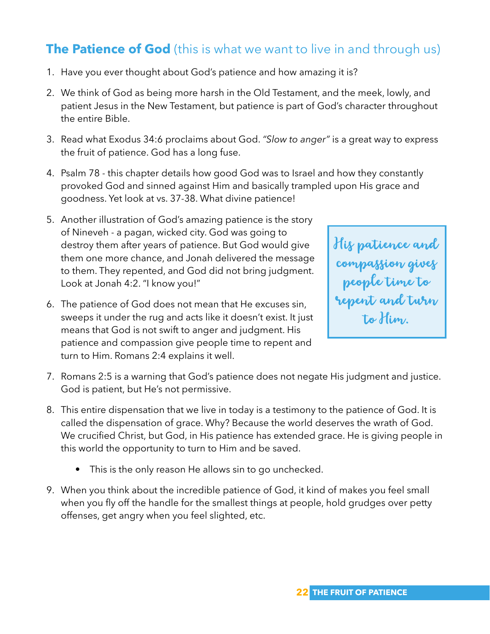## **The Patience of God** (this is what we want to live in and through us)

- 1. Have you ever thought about God's patience and how amazing it is?
- 2. We think of God as being more harsh in the Old Testament, and the meek, lowly, and patient Jesus in the New Testament, but patience is part of God's character throughout the entire Bible.
- 3. Read what Exodus 34:6 proclaims about God. *"Slow to anger"* is a great way to express the fruit of patience. God has a long fuse.
- 4. Psalm 78 this chapter details how good God was to Israel and how they constantly provoked God and sinned against Him and basically trampled upon His grace and goodness. Yet look at vs. 37-38. What divine patience!
- 5. Another illustration of God's amazing patience is the story of Nineveh - a pagan, wicked city. God was going to destroy them after years of patience. But God would give them one more chance, and Jonah delivered the message to them. They repented, and God did not bring judgment. Look at Jonah 4:2. "I know you!"
- 6. The patience of God does not mean that He excuses sin, sweeps it under the rug and acts like it doesn't exist. It just means that God is not swift to anger and judgment. His patience and compassion give people time to repent and turn to Him. Romans 2:4 explains it well.



- 7. Romans 2:5 is a warning that God's patience does not negate His judgment and justice. God is patient, but He's not permissive.
- 8. This entire dispensation that we live in today is a testimony to the patience of God. It is called the dispensation of grace. Why? Because the world deserves the wrath of God. We crucified Christ, but God, in His patience has extended grace. He is giving people in this world the opportunity to turn to Him and be saved.
	- This is the only reason He allows sin to go unchecked.
- 9. When you think about the incredible patience of God, it kind of makes you feel small when you fly off the handle for the smallest things at people, hold grudges over petty offenses, get angry when you feel slighted, etc.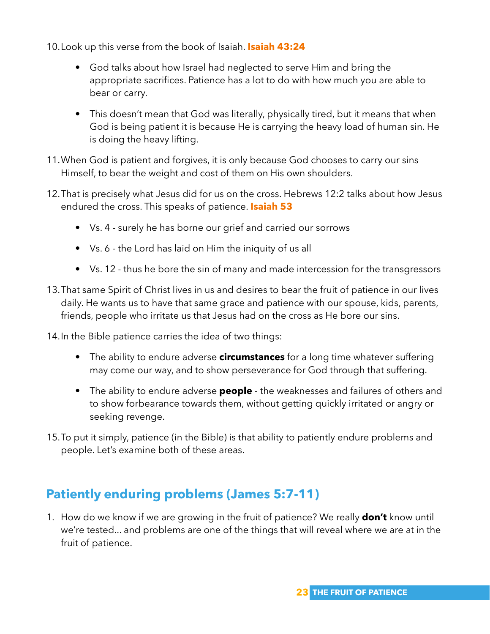10.Look up this verse from the book of Isaiah. **Isaiah 43:24**

- God talks about how Israel had neglected to serve Him and bring the appropriate sacrifices. Patience has a lot to do with how much you are able to bear or carry.
- This doesn't mean that God was literally, physically tired, but it means that when God is being patient it is because He is carrying the heavy load of human sin. He is doing the heavy lifting.
- 11.When God is patient and forgives, it is only because God chooses to carry our sins Himself, to bear the weight and cost of them on His own shoulders.
- 12.That is precisely what Jesus did for us on the cross. Hebrews 12:2 talks about how Jesus endured the cross. This speaks of patience. **Isaiah 53**
	- Vs. 4 surely he has borne our grief and carried our sorrows
	- Vs. 6 the Lord has laid on Him the iniquity of us all
	- Vs. 12 thus he bore the sin of many and made intercession for the transgressors
- 13.That same Spirit of Christ lives in us and desires to bear the fruit of patience in our lives daily. He wants us to have that same grace and patience with our spouse, kids, parents, friends, people who irritate us that Jesus had on the cross as He bore our sins.

14.In the Bible patience carries the idea of two things:

- The ability to endure adverse **circumstances** for a long time whatever suffering may come our way, and to show perseverance for God through that suffering.
- The ability to endure adverse **people** the weaknesses and failures of others and to show forbearance towards them, without getting quickly irritated or angry or seeking revenge.
- 15.To put it simply, patience (in the Bible) is that ability to patiently endure problems and people. Let's examine both of these areas.

## **Patiently enduring problems (James 5:7-11)**

1. How do we know if we are growing in the fruit of patience? We really **don't** know until we're tested... and problems are one of the things that will reveal where we are at in the fruit of patience.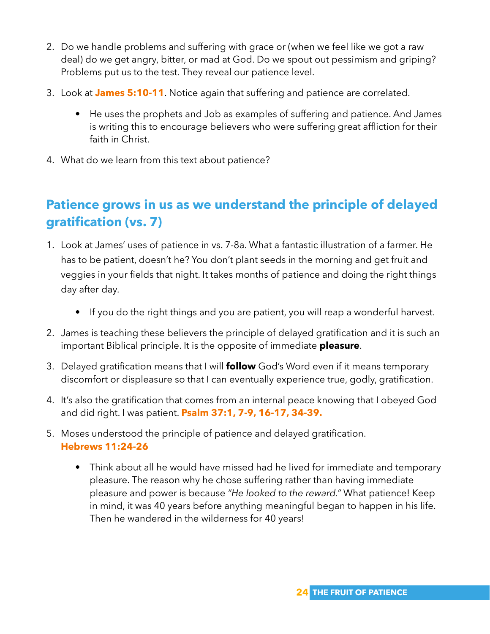- 2. Do we handle problems and suffering with grace or (when we feel like we got a raw deal) do we get angry, bitter, or mad at God. Do we spout out pessimism and griping? Problems put us to the test. They reveal our patience level.
- 3. Look at **James 5:10-11**. Notice again that suffering and patience are correlated.
	- He uses the prophets and Job as examples of suffering and patience. And James is writing this to encourage believers who were suffering great affliction for their faith in Christ.
- 4. What do we learn from this text about patience?

## **Patience grows in us as we understand the principle of delayed gratification (vs. 7)**

- 1. Look at James' uses of patience in vs. 7-8a. What a fantastic illustration of a farmer. He has to be patient, doesn't he? You don't plant seeds in the morning and get fruit and veggies in your fields that night. It takes months of patience and doing the right things day after day.
	- If you do the right things and you are patient, you will reap a wonderful harvest.
- 2. James is teaching these believers the principle of delayed gratification and it is such an important Biblical principle. It is the opposite of immediate **pleasure**.
- 3. Delayed gratification means that I will **follow** God's Word even if it means temporary discomfort or displeasure so that I can eventually experience true, godly, gratification.
- 4. It's also the gratification that comes from an internal peace knowing that I obeyed God and did right. I was patient. **Psalm 37:1, 7-9, 16-17, 34-39.**
- 5. Moses understood the principle of patience and delayed gratification. **Hebrews 11:24-26**
	- Think about all he would have missed had he lived for immediate and temporary pleasure. The reason why he chose suffering rather than having immediate pleasure and power is because *"He looked to the reward."* What patience! Keep in mind, it was 40 years before anything meaningful began to happen in his life. Then he wandered in the wilderness for 40 years!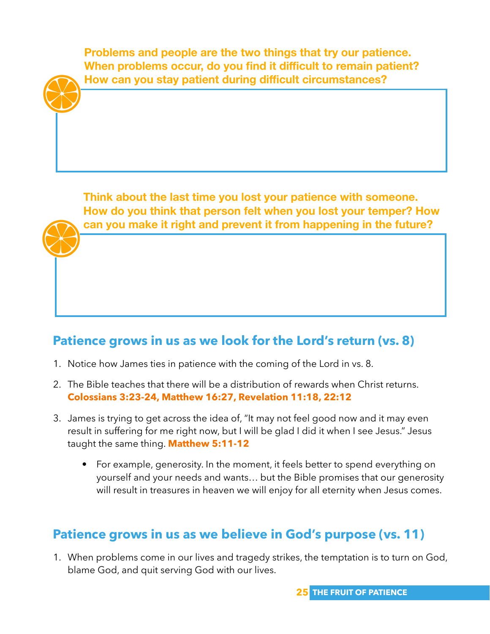**Problems and people are the two things that try our patience. When problems occur, do you find it difficult to remain patient? How can you stay patient during difficult circumstances?**

**Think about the last time you lost your patience with someone. How do you think that person felt when you lost your temper? How can you make it right and prevent it from happening in the future?**

#### **Patience grows in us as we look for the Lord's return (vs. 8)**

- 1. Notice how James ties in patience with the coming of the Lord in vs. 8.
- 2. The Bible teaches that there will be a distribution of rewards when Christ returns. **Colossians 3:23-24, Matthew 16:27, Revelation 11:18, 22:12**
- 3. James is trying to get across the idea of, "It may not feel good now and it may even result in suffering for me right now, but I will be glad I did it when I see Jesus." Jesus taught the same thing. **Matthew 5:11-12**
	- For example, generosity. In the moment, it feels better to spend everything on yourself and your needs and wants… but the Bible promises that our generosity will result in treasures in heaven we will enjoy for all eternity when Jesus comes.

#### **Patience grows in us as we believe in God's purpose (vs. 11)**

1. When problems come in our lives and tragedy strikes, the temptation is to turn on God, blame God, and quit serving God with our lives.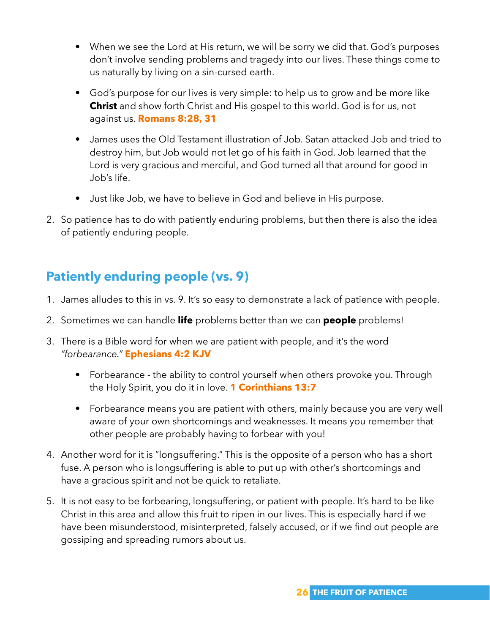- When we see the Lord at His return, we will be sorry we did that. God's purposes don't involve sending problems and tragedy into our lives. These things come to us naturally by living on a sin-cursed earth.
- God's purpose for our lives is very simple: to help us to grow and be more like **Christ** and show forth Christ and His gospel to this world. God is for us, not against us. **Romans 8:28, 31**
- James uses the Old Testament illustration of Job. Satan attacked Job and tried to destroy him, but Job would not let go of his faith in God. Job learned that the Lord is very gracious and merciful, and God turned all that around for good in Job's life.
- Just like Job, we have to believe in God and believe in His purpose.
- 2. So patience has to do with patiently enduring problems, but then there is also the idea of patiently enduring people.

## **Patiently enduring people (vs. 9)**

- 1. James alludes to this in vs. 9. It's so easy to demonstrate a lack of patience with people.
- 2. Sometimes we can handle **life** problems better than we can **people** problems!
- 3. There is a Bible word for when we are patient with people, and it's the word *"forbearance."* **Ephesians 4:2 KJV**
	- Forbearance the ability to control yourself when others provoke you. Through the Holy Spirit, you do it in love. **1 Corinthians 13:7**
	- Forbearance means you are patient with others, mainly because you are very well aware of your own shortcomings and weaknesses. It means you remember that other people are probably having to forbear with you!
- 4. Another word for it is "longsuffering." This is the opposite of a person who has a short fuse. A person who is longsuffering is able to put up with other's shortcomings and have a gracious spirit and not be quick to retaliate.
- 5. It is not easy to be forbearing, longsuffering, or patient with people. It's hard to be like Christ in this area and allow this fruit to ripen in our lives. This is especially hard if we have been misunderstood, misinterpreted, falsely accused, or if we find out people are gossiping and spreading rumors about us.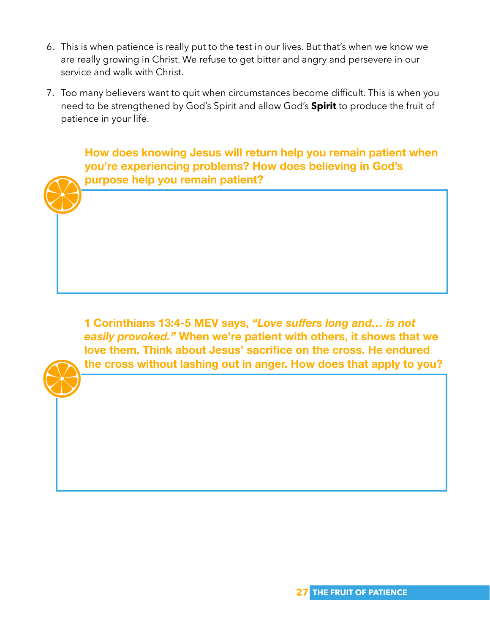- 6. This is when patience is really put to the test in our lives. But that's when we know we are really growing in Christ. We refuse to get bitter and angry and persevere in our service and walk with Christ.
- 7. Too many believers want to quit when circumstances become difficult. This is when you need to be strengthened by God's Spirit and allow God's **Spirit** to produce the fruit of patience in your life.

**How does knowing Jesus will return help you remain patient when you're experiencing problems? How does believing in God's purpose help you remain patient?**

**1 Corinthians 13:4-5 MEV says,** *"Love suffers long and… is not easily provoked."* **When we're patient with others, it shows that we love them. Think about Jesus' sacrifice on the cross. He endured the cross without lashing out in anger. How does that apply to you?** 

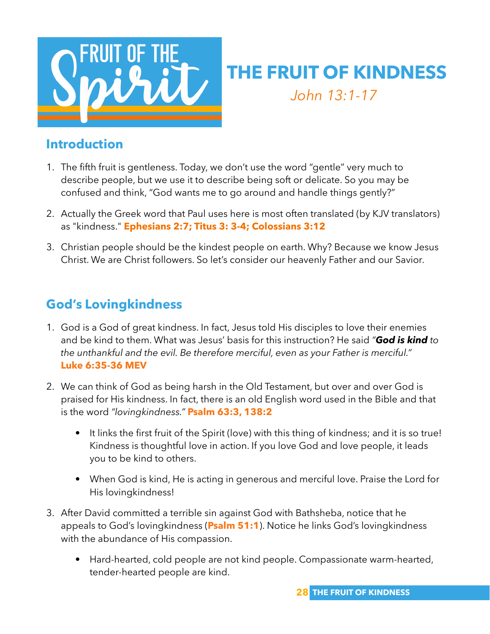

## **THE FRUIT OF KINDNESS** *John 13:1-17*

#### **Introduction**

- 1. The fifth fruit is gentleness. Today, we don't use the word "gentle" very much to describe people, but we use it to describe being soft or delicate. So you may be confused and think, "God wants me to go around and handle things gently?"
- 2. Actually the Greek word that Paul uses here is most often translated (by KJV translators) as "kindness." **Ephesians 2:7; Titus 3: 3-4; Colossians 3:12**
- 3. Christian people should be the kindest people on earth. Why? Because we know Jesus Christ. We are Christ followers. So let's consider our heavenly Father and our Savior.

## **God's Lovingkindness**

- 1. God is a God of great kindness. In fact, Jesus told His disciples to love their enemies and be kind to them. What was Jesus' basis for this instruction? He said *"God is kind to the unthankful and the evil. Be therefore merciful, even as your Father is merciful."* **Luke 6:35-36 MEV**
- 2. We can think of God as being harsh in the Old Testament, but over and over God is praised for His kindness. In fact, there is an old English word used in the Bible and that is the word *"lovingkindness."* **Psalm 63:3, 138:2**
	- It links the first fruit of the Spirit (love) with this thing of kindness; and it is so true! Kindness is thoughtful love in action. If you love God and love people, it leads you to be kind to others.
	- When God is kind, He is acting in generous and merciful love. Praise the Lord for His lovingkindness!
- 3. After David committed a terrible sin against God with Bathsheba, notice that he appeals to God's lovingkindness (**Psalm 51:1**). Notice he links God's lovingkindness with the abundance of His compassion.
	- Hard-hearted, cold people are not kind people. Compassionate warm-hearted, tender-hearted people are kind.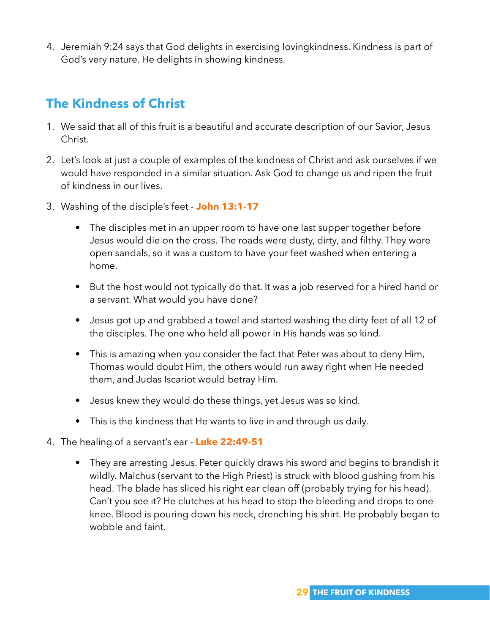4. Jeremiah 9:24 says that God delights in exercising lovingkindness. Kindness is part of God's very nature. He delights in showing kindness.

## **The Kindness of Christ**

- 1. We said that all of this fruit is a beautiful and accurate description of our Savior, Jesus Christ.
- 2. Let's look at just a couple of examples of the kindness of Christ and ask ourselves if we would have responded in a similar situation. Ask God to change us and ripen the fruit of kindness in our lives.
- 3. Washing of the disciple's feet **John 13:1-17**
	- The disciples met in an upper room to have one last supper together before Jesus would die on the cross. The roads were dusty, dirty, and filthy. They wore open sandals, so it was a custom to have your feet washed when entering a home.
	- But the host would not typically do that. It was a job reserved for a hired hand or a servant. What would you have done?
	- Jesus got up and grabbed a towel and started washing the dirty feet of all 12 of the disciples. The one who held all power in His hands was so kind.
	- This is amazing when you consider the fact that Peter was about to deny Him, Thomas would doubt Him, the others would run away right when He needed them, and Judas Iscariot would betray Him.
	- Jesus knew they would do these things, yet Jesus was so kind.
	- This is the kindness that He wants to live in and through us daily.
- 4. The healing of a servant's ear **Luke 22:49-51**
	- They are arresting Jesus. Peter quickly draws his sword and begins to brandish it wildly. Malchus (servant to the High Priest) is struck with blood gushing from his head. The blade has sliced his right ear clean off (probably trying for his head). Can't you see it? He clutches at his head to stop the bleeding and drops to one knee. Blood is pouring down his neck, drenching his shirt. He probably began to wobble and faint.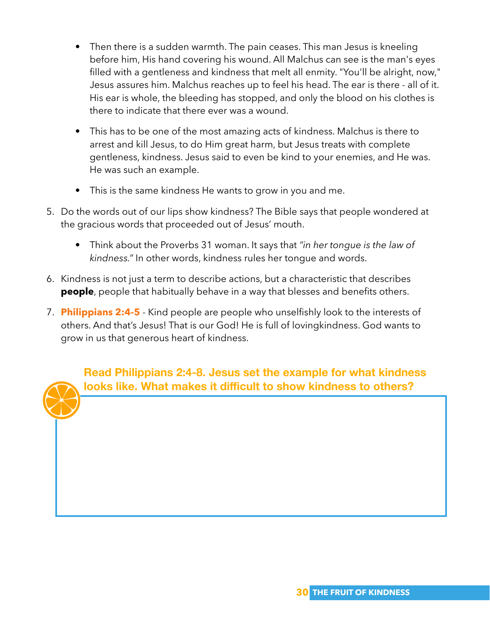- Then there is a sudden warmth. The pain ceases. This man Jesus is kneeling before him, His hand covering his wound. All Malchus can see is the man's eyes filled with a gentleness and kindness that melt all enmity. "You'll be alright, now," Jesus assures him. Malchus reaches up to feel his head. The ear is there - all of it. His ear is whole, the bleeding has stopped, and only the blood on his clothes is there to indicate that there ever was a wound.
- This has to be one of the most amazing acts of kindness. Malchus is there to arrest and kill Jesus, to do Him great harm, but Jesus treats with complete gentleness, kindness. Jesus said to even be kind to your enemies, and He was. He was such an example.
- This is the same kindness He wants to grow in you and me.
- 5. Do the words out of our lips show kindness? The Bible says that people wondered at the gracious words that proceeded out of Jesus' mouth.
	- Think about the Proverbs 31 woman. It says that *"in her tongue is the law of kindness."* In other words, kindness rules her tongue and words.
- 6. Kindness is not just a term to describe actions, but a characteristic that describes **people**, people that habitually behave in a way that blesses and benefits others.
- 7. **Philippians 2:4-5** Kind people are people who unselfishly look to the interests of others. And that's Jesus! That is our God! He is full of lovingkindness. God wants to grow in us that generous heart of kindness.

**Read Philippians 2:4-8. Jesus set the example for what kindness looks like. What makes it difficult to show kindness to others?**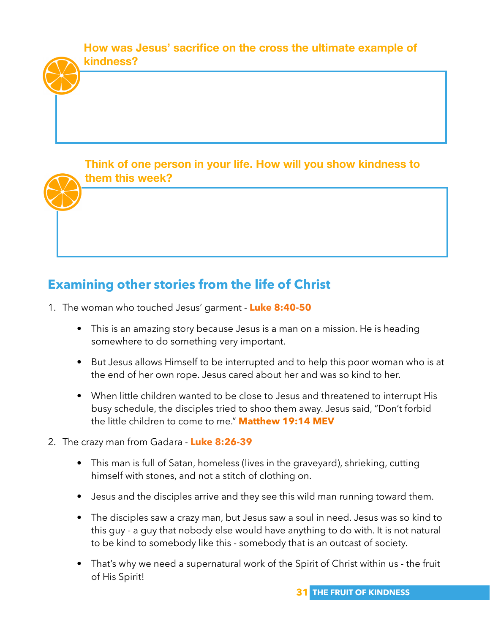**How was Jesus' sacrifice on the cross the ultimate example of kindness?** 

**Think of one person in your life. How will you show kindness to them this week?** 

## **Examining other stories from the life of Christ**

- 1. The woman who touched Jesus' garment **Luke 8:40-50** 
	- This is an amazing story because Jesus is a man on a mission. He is heading somewhere to do something very important.
	- But Jesus allows Himself to be interrupted and to help this poor woman who is at the end of her own rope. Jesus cared about her and was so kind to her.
	- When little children wanted to be close to Jesus and threatened to interrupt His busy schedule, the disciples tried to shoo them away. Jesus said, "Don't forbid the little children to come to me." **Matthew 19:14 MEV**
- 2. The crazy man from Gadara **Luke 8:26-39** 
	- This man is full of Satan, homeless (lives in the graveyard), shrieking, cutting himself with stones, and not a stitch of clothing on.
	- Jesus and the disciples arrive and they see this wild man running toward them.
	- The disciples saw a crazy man, but Jesus saw a soul in need. Jesus was so kind to this guy - a guy that nobody else would have anything to do with. It is not natural to be kind to somebody like this - somebody that is an outcast of society.
	- That's why we need a supernatural work of the Spirit of Christ within us the fruit of His Spirit!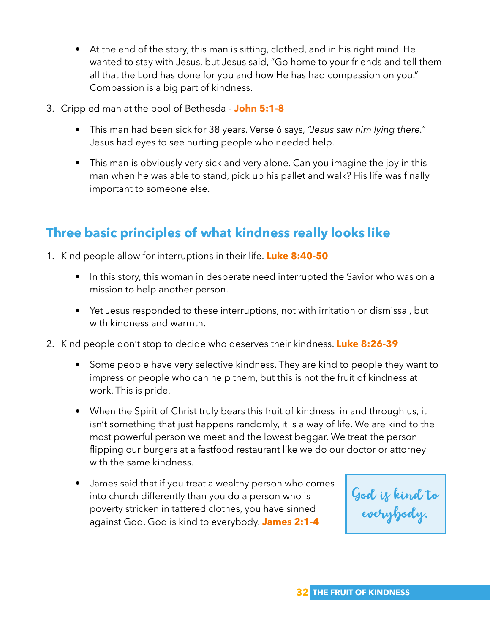- At the end of the story, this man is sitting, clothed, and in his right mind. He wanted to stay with Jesus, but Jesus said, "Go home to your friends and tell them all that the Lord has done for you and how He has had compassion on you." Compassion is a big part of kindness.
- 3. Crippled man at the pool of Bethesda **John 5:1-8**
	- This man had been sick for 38 years. Verse 6 says, *"Jesus saw him lying there."* Jesus had eyes to see hurting people who needed help.
	- This man is obviously very sick and very alone. Can you imagine the joy in this man when he was able to stand, pick up his pallet and walk? His life was finally important to someone else.

## **Three basic principles of what kindness really looks like**

- 1. Kind people allow for interruptions in their life. **Luke 8:40-50**
	- In this story, this woman in desperate need interrupted the Savior who was on a mission to help another person.
	- Yet Jesus responded to these interruptions, not with irritation or dismissal, but with kindness and warmth.
- 2. Kind people don't stop to decide who deserves their kindness. **Luke 8:26-39**
	- Some people have very selective kindness. They are kind to people they want to impress or people who can help them, but this is not the fruit of kindness at work. This is pride.
	- When the Spirit of Christ truly bears this fruit of kindness in and through us, it isn't something that just happens randomly, it is a way of life. We are kind to the most powerful person we meet and the lowest beggar. We treat the person flipping our burgers at a fastfood restaurant like we do our doctor or attorney with the same kindness.
	- James said that if you treat a wealthy person who comes into church differently than you do a person who is poverty stricken in tattered clothes, you have sinned against God. God is kind to everybody. **James 2:1-4**

God is kind to everybody.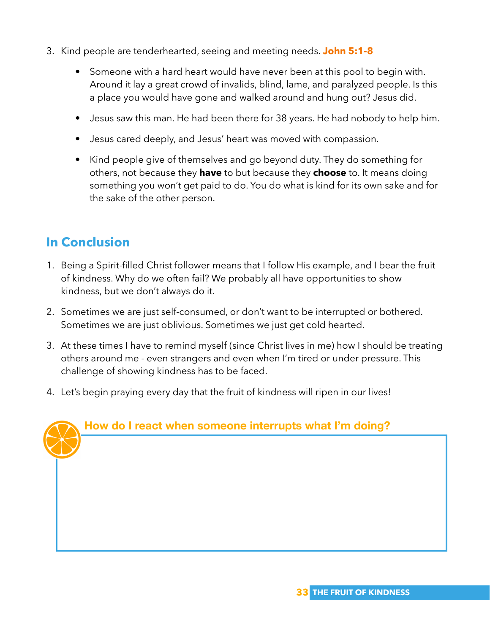- 3. Kind people are tenderhearted, seeing and meeting needs. **John 5:1-8**
	- Someone with a hard heart would have never been at this pool to begin with. Around it lay a great crowd of invalids, blind, lame, and paralyzed people. Is this a place you would have gone and walked around and hung out? Jesus did.
	- Jesus saw this man. He had been there for 38 years. He had nobody to help him.
	- Jesus cared deeply, and Jesus' heart was moved with compassion.
	- Kind people give of themselves and go beyond duty. They do something for others, not because they **have** to but because they **choose** to. It means doing something you won't get paid to do. You do what is kind for its own sake and for the sake of the other person.

## **In Conclusion**

- 1. Being a Spirit-filled Christ follower means that I follow His example, and I bear the fruit of kindness. Why do we often fail? We probably all have opportunities to show kindness, but we don't always do it.
- 2. Sometimes we are just self-consumed, or don't want to be interrupted or bothered. Sometimes we are just oblivious. Sometimes we just get cold hearted.
- 3. At these times I have to remind myself (since Christ lives in me) how I should be treating others around me - even strangers and even when I'm tired or under pressure. This challenge of showing kindness has to be faced.
- 4. Let's begin praying every day that the fruit of kindness will ripen in our lives!

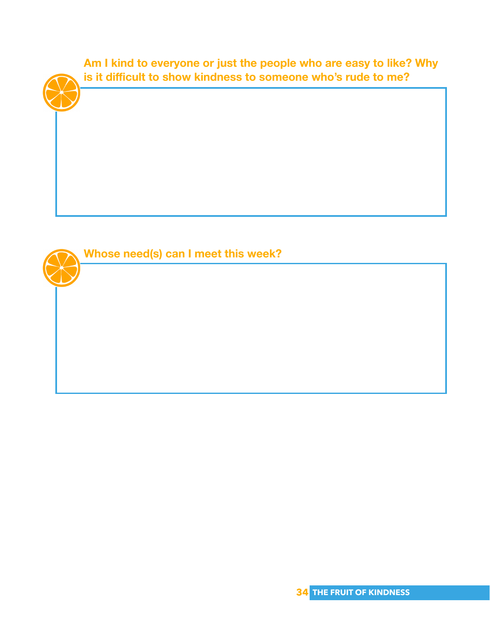

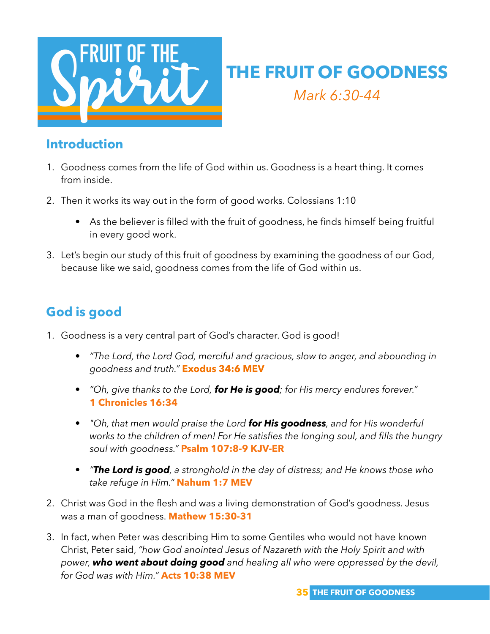

## **THE FRUIT OF GOODNESS** *Mark 6:30-44*

#### **Introduction**

- 1. Goodness comes from the life of God within us. Goodness is a heart thing. It comes from inside.
- 2. Then it works its way out in the form of good works. Colossians 1:10
	- As the believer is filled with the fruit of goodness, he finds himself being fruitful in every good work.
- 3. Let's begin our study of this fruit of goodness by examining the goodness of our God, because like we said, goodness comes from the life of God within us.

## **God is good**

- 1. Goodness is a very central part of God's character. God is good!
	- *"The Lord, the Lord God, merciful and gracious, slow to anger, and abounding in goodness and truth."* **Exodus 34:6 MEV**
	- *"Oh, give thanks to the Lord, for He is good; for His mercy endures forever."* **1 Chronicles 16:34**
	- *"Oh, that men would praise the Lord for His goodness, and for His wonderful works to the children of men! For He satisfies the longing soul, and fills the hungry soul with goodness."* **Psalm 107:8-9 KJV-ER**
	- *"The Lord is good, a stronghold in the day of distress; and He knows those who take refuge in Him."* **Nahum 1:7 MEV**
- 2. Christ was God in the flesh and was a living demonstration of God's goodness. Jesus was a man of goodness. **Mathew 15:30-31**
- 3. In fact, when Peter was describing Him to some Gentiles who would not have known Christ, Peter said, *"how God anointed Jesus of Nazareth with the Holy Spirit and with power, who went about doing good and healing all who were oppressed by the devil, for God was with Him."* **Acts 10:38 MEV**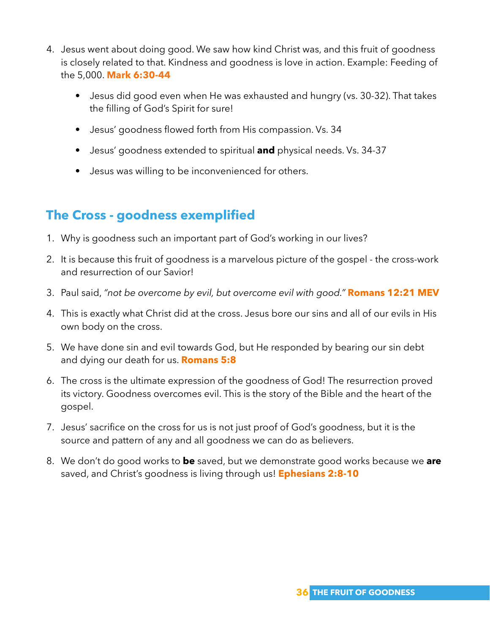- 4. Jesus went about doing good. We saw how kind Christ was, and this fruit of goodness is closely related to that. Kindness and goodness is love in action. Example: Feeding of the 5,000. **Mark 6:30-44**
	- Jesus did good even when He was exhausted and hungry (vs. 30-32). That takes the filling of God's Spirit for sure!
	- Jesus' goodness flowed forth from His compassion. Vs. 34
	- Jesus' goodness extended to spiritual **and** physical needs. Vs. 34-37
	- Jesus was willing to be inconvenienced for others.

## **The Cross - goodness exemplified**

- 1. Why is goodness such an important part of God's working in our lives?
- 2. It is because this fruit of goodness is a marvelous picture of the gospel the cross-work and resurrection of our Savior!
- 3. Paul said, *"not be overcome by evil, but overcome evil with good."* **Romans 12:21 MEV**
- 4. This is exactly what Christ did at the cross. Jesus bore our sins and all of our evils in His own body on the cross.
- 5. We have done sin and evil towards God, but He responded by bearing our sin debt and dying our death for us. **Romans 5:8**
- 6. The cross is the ultimate expression of the goodness of God! The resurrection proved its victory. Goodness overcomes evil. This is the story of the Bible and the heart of the gospel.
- 7. Jesus' sacrifice on the cross for us is not just proof of God's goodness, but it is the source and pattern of any and all goodness we can do as believers.
- 8. We don't do good works to **be** saved, but we demonstrate good works because we **are** saved, and Christ's goodness is living through us! **Ephesians 2:8-10**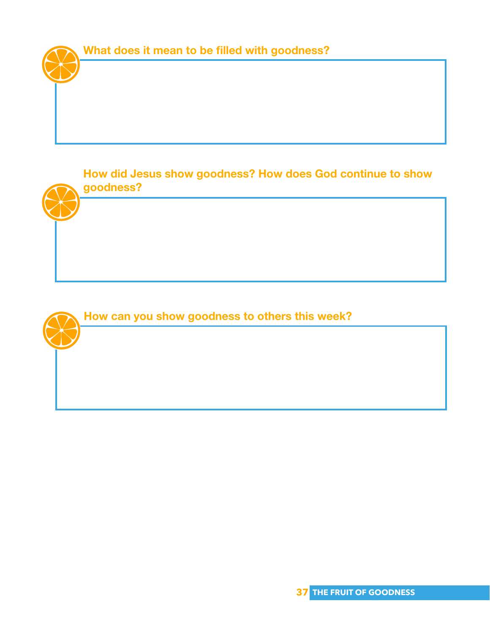

**How did Jesus show goodness? How does God continue to show goodness?** 

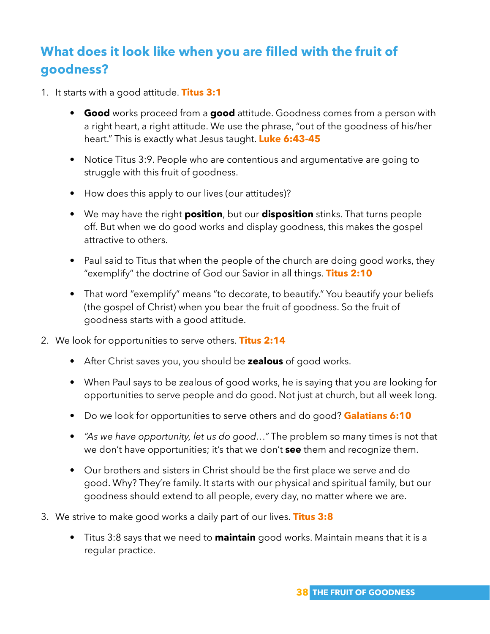## **What does it look like when you are filled with the fruit of goodness?**

- 1. It starts with a good attitude. **Titus 3:1**
	- **Good** works proceed from a **good** attitude. Goodness comes from a person with a right heart, a right attitude. We use the phrase, "out of the goodness of his/her heart." This is exactly what Jesus taught. **Luke 6:43-45**
	- Notice Titus 3:9. People who are contentious and argumentative are going to struggle with this fruit of goodness.
	- How does this apply to our lives (our attitudes)?
	- We may have the right **position**, but our **disposition** stinks. That turns people off. But when we do good works and display goodness, this makes the gospel attractive to others.
	- Paul said to Titus that when the people of the church are doing good works, they "exemplify" the doctrine of God our Savior in all things. **Titus 2:10**
	- That word "exemplify" means "to decorate, to beautify." You beautify your beliefs (the gospel of Christ) when you bear the fruit of goodness. So the fruit of goodness starts with a good attitude.
- 2. We look for opportunities to serve others. **Titus 2:14**
	- After Christ saves you, you should be **zealous** of good works.
	- When Paul says to be zealous of good works, he is saying that you are looking for opportunities to serve people and do good. Not just at church, but all week long.
	- Do we look for opportunities to serve others and do good? **Galatians 6:10**
	- *"As we have opportunity, let us do good…"* The problem so many times is not that we don't have opportunities; it's that we don't **see** them and recognize them.
	- Our brothers and sisters in Christ should be the first place we serve and do good. Why? They're family. It starts with our physical and spiritual family, but our goodness should extend to all people, every day, no matter where we are.
- 3. We strive to make good works a daily part of our lives. **Titus 3:8** 
	- Titus 3:8 says that we need to **maintain** good works. Maintain means that it is a regular practice.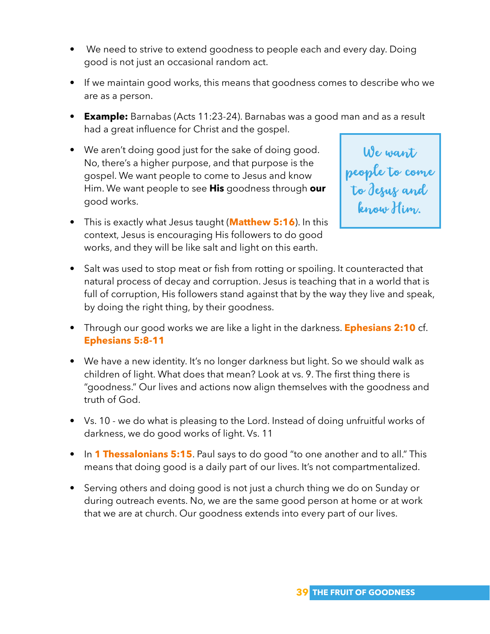- We need to strive to extend goodness to people each and every day. Doing good is not just an occasional random act.
- If we maintain good works, this means that goodness comes to describe who we are as a person.
- **Example:** Barnabas (Acts 11:23-24). Barnabas was a good man and as a result had a great influence for Christ and the gospel.
- We aren't doing good just for the sake of doing good. No, there's a higher purpose, and that purpose is the gospel. We want people to come to Jesus and know Him. We want people to see **His** goodness through **our** good works.
- This is exactly what Jesus taught (**Matthew 5:16**). In this context, Jesus is encouraging His followers to do good works, and they will be like salt and light on this earth.

We want people to come to Jesus and know Him.

- Salt was used to stop meat or fish from rotting or spoiling. It counteracted that natural process of decay and corruption. Jesus is teaching that in a world that is full of corruption, His followers stand against that by the way they live and speak, by doing the right thing, by their goodness.
- Through our good works we are like a light in the darkness. **Ephesians 2:10** cf. **Ephesians 5:8-11**
- We have a new identity. It's no longer darkness but light. So we should walk as children of light. What does that mean? Look at vs. 9. The first thing there is "goodness." Our lives and actions now align themselves with the goodness and truth of God.
- Vs. 10 we do what is pleasing to the Lord. Instead of doing unfruitful works of darkness, we do good works of light. Vs. 11
- In **1 Thessalonians 5:15**. Paul says to do good "to one another and to all." This means that doing good is a daily part of our lives. It's not compartmentalized.
- Serving others and doing good is not just a church thing we do on Sunday or during outreach events. No, we are the same good person at home or at work that we are at church. Our goodness extends into every part of our lives.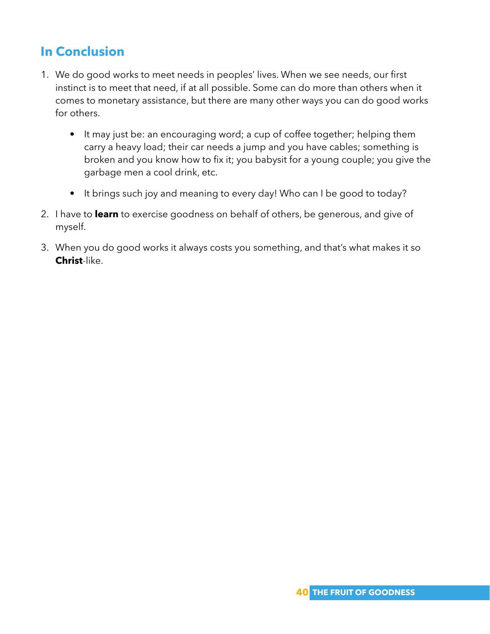## **In Conclusion**

- 1. We do good works to meet needs in peoples' lives. When we see needs, our first instinct is to meet that need, if at all possible. Some can do more than others when it comes to monetary assistance, but there are many other ways you can do good works for others.
	- It may just be: an encouraging word; a cup of coffee together; helping them carry a heavy load; their car needs a jump and you have cables; something is broken and you know how to fix it; you babysit for a young couple; you give the garbage men a cool drink, etc.
	- It brings such joy and meaning to every day! Who can I be good to today?
- 2. I have to **learn** to exercise goodness on behalf of others, be generous, and give of myself.
- 3. When you do good works it always costs you something, and that's what makes it so **Christ**-like.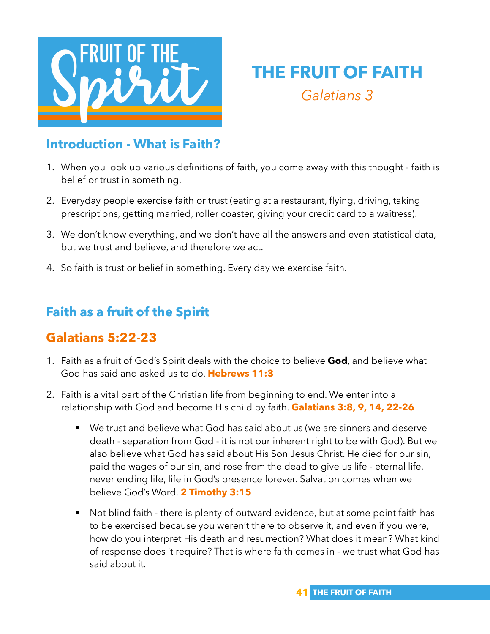

## **THE FRUIT OF FAITH** *Galatians 3*

#### **Introduction - What is Faith?**

- 1. When you look up various definitions of faith, you come away with this thought faith is belief or trust in something.
- 2. Everyday people exercise faith or trust (eating at a restaurant, flying, driving, taking prescriptions, getting married, roller coaster, giving your credit card to a waitress).
- 3. We don't know everything, and we don't have all the answers and even statistical data, but we trust and believe, and therefore we act.
- 4. So faith is trust or belief in something. Every day we exercise faith.

## **Faith as a fruit of the Spirit**

## **Galatians 5:22-23**

- 1. Faith as a fruit of God's Spirit deals with the choice to believe **God**, and believe what God has said and asked us to do. **Hebrews 11:3**
- 2. Faith is a vital part of the Christian life from beginning to end. We enter into a relationship with God and become His child by faith. **Galatians 3:8, 9, 14, 22-26**
	- We trust and believe what God has said about us (we are sinners and deserve death - separation from God - it is not our inherent right to be with God). But we also believe what God has said about His Son Jesus Christ. He died for our sin, paid the wages of our sin, and rose from the dead to give us life - eternal life, never ending life, life in God's presence forever. Salvation comes when we believe God's Word. **2 Timothy 3:15**
	- Not blind faith there is plenty of outward evidence, but at some point faith has to be exercised because you weren't there to observe it, and even if you were, how do you interpret His death and resurrection? What does it mean? What kind of response does it require? That is where faith comes in - we trust what God has said about it.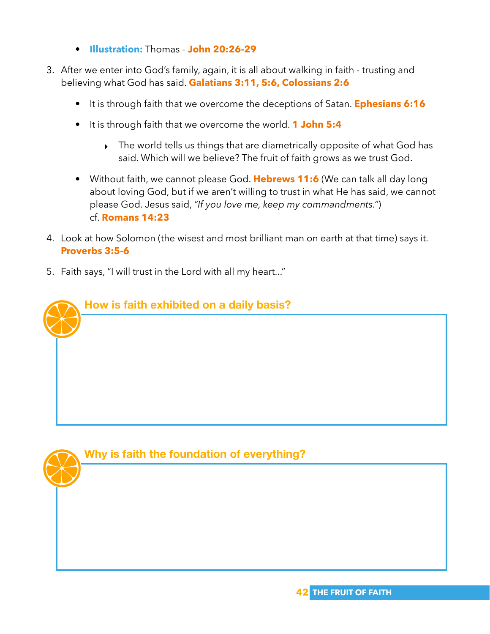- **Illustration:** Thomas **John 20:26-29**
- 3. After we enter into God's family, again, it is all about walking in faith trusting and believing what God has said. **Galatians 3:11, 5:6, Colossians 2:6**
	- It is through faith that we overcome the deceptions of Satan. **Ephesians 6:16**
	- It is through faith that we overcome the world. **1 John 5:4**
		- The world tells us things that are diametrically opposite of what God has said. Which will we believe? The fruit of faith grows as we trust God.
	- Without faith, we cannot please God. **Hebrews 11:6** (We can talk all day long about loving God, but if we aren't willing to trust in what He has said, we cannot please God. Jesus said, *"If you love me, keep my commandments."*) cf. **Romans 14:23**
- 4. Look at how Solomon (the wisest and most brilliant man on earth at that time) says it. **Proverbs 3:5-6**
- 5. Faith says, "I will trust in the Lord with all my heart..."



#### **Why is faith the foundation of everything?**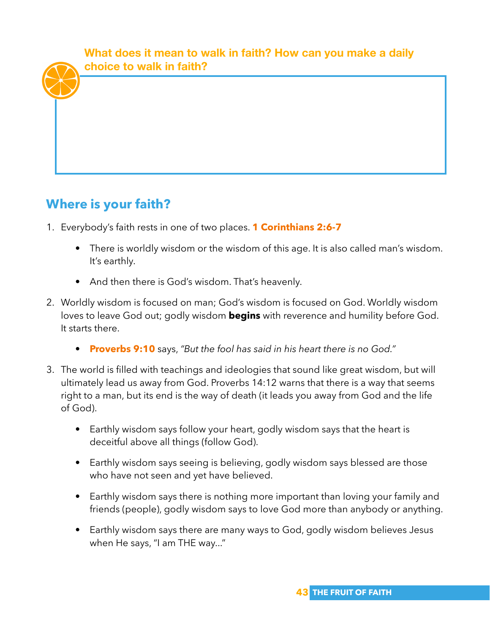**What does it mean to walk in faith? How can you make a daily choice to walk in faith?**

## **Where is your faith?**

- 1. Everybody's faith rests in one of two places. **1 Corinthians 2:6-7** 
	- There is worldly wisdom or the wisdom of this age. It is also called man's wisdom. It's earthly.
	- And then there is God's wisdom. That's heavenly.
- 2. Worldly wisdom is focused on man; God's wisdom is focused on God. Worldly wisdom loves to leave God out; godly wisdom **begins** with reverence and humility before God. It starts there.
	- **Proverbs 9:10** says, *"But the fool has said in his heart there is no God."*
- 3. The world is filled with teachings and ideologies that sound like great wisdom, but will ultimately lead us away from God. Proverbs 14:12 warns that there is a way that seems right to a man, but its end is the way of death (it leads you away from God and the life of God).
	- Earthly wisdom says follow your heart, godly wisdom says that the heart is deceitful above all things (follow God).
	- Earthly wisdom says seeing is believing, godly wisdom says blessed are those who have not seen and yet have believed.
	- Earthly wisdom says there is nothing more important than loving your family and friends (people), godly wisdom says to love God more than anybody or anything.
	- Earthly wisdom says there are many ways to God, godly wisdom believes Jesus when He says, "I am THE way..."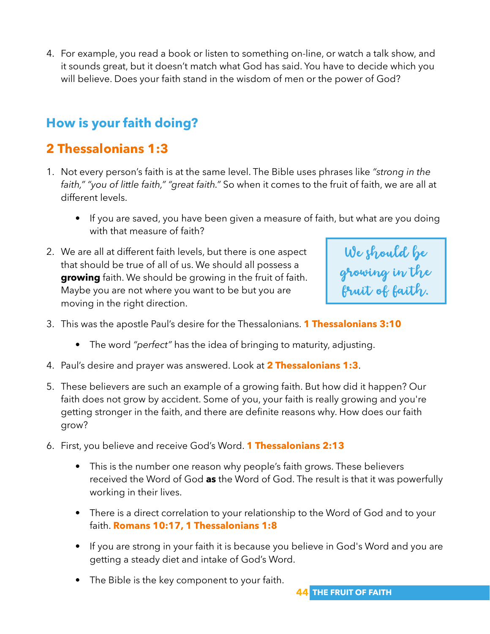4. For example, you read a book or listen to something on-line, or watch a talk show, and it sounds great, but it doesn't match what God has said. You have to decide which you will believe. Does your faith stand in the wisdom of men or the power of God?

## **How is your faith doing?**

## **2 Thessalonians 1:3**

- 1. Not every person's faith is at the same level. The Bible uses phrases like *"strong in the faith," "you of little faith," "great faith."* So when it comes to the fruit of faith, we are all at different levels.
	- If you are saved, you have been given a measure of faith, but what are you doing with that measure of faith?
- 2. We are all at different faith levels, but there is one aspect that should be true of all of us. We should all possess a **growing** faith. We should be growing in the fruit of faith. Maybe you are not where you want to be but you are moving in the right direction.



- 3. This was the apostle Paul's desire for the Thessalonians. **1 Thessalonians 3:10**
	- The word *"perfect"* has the idea of bringing to maturity, adjusting.
- 4. Paul's desire and prayer was answered. Look at **2 Thessalonians 1:3**.
- 5. These believers are such an example of a growing faith. But how did it happen? Our faith does not grow by accident. Some of you, your faith is really growing and you're getting stronger in the faith, and there are definite reasons why. How does our faith grow?
- 6. First, you believe and receive God's Word. **1 Thessalonians 2:13**
	- This is the number one reason why people's faith grows. These believers received the Word of God **as** the Word of God. The result is that it was powerfully working in their lives.
	- There is a direct correlation to your relationship to the Word of God and to your faith. **Romans 10:17, 1 Thessalonians 1:8**
	- If you are strong in your faith it is because you believe in God's Word and you are getting a steady diet and intake of God's Word.
	- The Bible is the key component to your faith.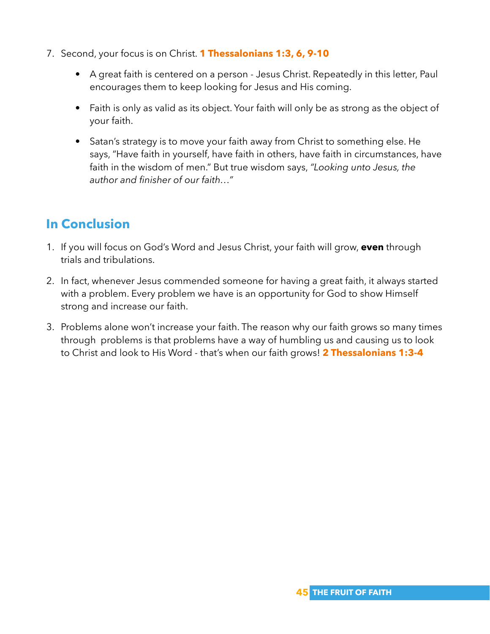- 7. Second, your focus is on Christ. **1 Thessalonians 1:3, 6, 9-10**
	- A great faith is centered on a person Jesus Christ. Repeatedly in this letter, Paul encourages them to keep looking for Jesus and His coming.
	- Faith is only as valid as its object. Your faith will only be as strong as the object of your faith.
	- Satan's strategy is to move your faith away from Christ to something else. He says, "Have faith in yourself, have faith in others, have faith in circumstances, have faith in the wisdom of men." But true wisdom says, *"Looking unto Jesus, the author and finisher of our faith…"*

## **In Conclusion**

- 1. If you will focus on God's Word and Jesus Christ, your faith will grow, **even** through trials and tribulations.
- 2. In fact, whenever Jesus commended someone for having a great faith, it always started with a problem. Every problem we have is an opportunity for God to show Himself strong and increase our faith.
- 3. Problems alone won't increase your faith. The reason why our faith grows so many times through problems is that problems have a way of humbling us and causing us to look to Christ and look to His Word - that's when our faith grows! **2 Thessalonians 1:3-4**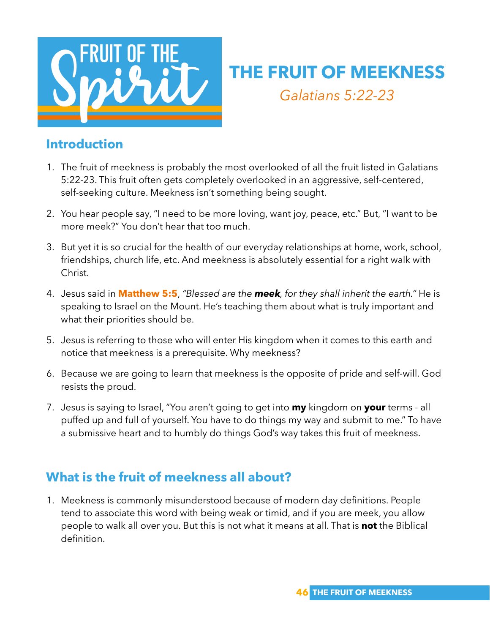

# **THE FRUIT OF MEEKNESS** *Galatians 5:22-23*

#### **Introduction**

- 1. The fruit of meekness is probably the most overlooked of all the fruit listed in Galatians 5:22-23. This fruit often gets completely overlooked in an aggressive, self-centered, self-seeking culture. Meekness isn't something being sought.
- 2. You hear people say, "I need to be more loving, want joy, peace, etc." But, "I want to be more meek?" You don't hear that too much.
- 3. But yet it is so crucial for the health of our everyday relationships at home, work, school, friendships, church life, etc. And meekness is absolutely essential for a right walk with Christ.
- 4. Jesus said in **Matthew 5:5**, *"Blessed are the meek, for they shall inherit the earth."* He is speaking to Israel on the Mount. He's teaching them about what is truly important and what their priorities should be.
- 5. Jesus is referring to those who will enter His kingdom when it comes to this earth and notice that meekness is a prerequisite. Why meekness?
- 6. Because we are going to learn that meekness is the opposite of pride and self-will. God resists the proud.
- 7. Jesus is saying to Israel, "You aren't going to get into **my** kingdom on **your** terms all puffed up and full of yourself. You have to do things my way and submit to me." To have a submissive heart and to humbly do things God's way takes this fruit of meekness.

## **What is the fruit of meekness all about?**

1. Meekness is commonly misunderstood because of modern day definitions. People tend to associate this word with being weak or timid, and if you are meek, you allow people to walk all over you. But this is not what it means at all. That is **not** the Biblical definition.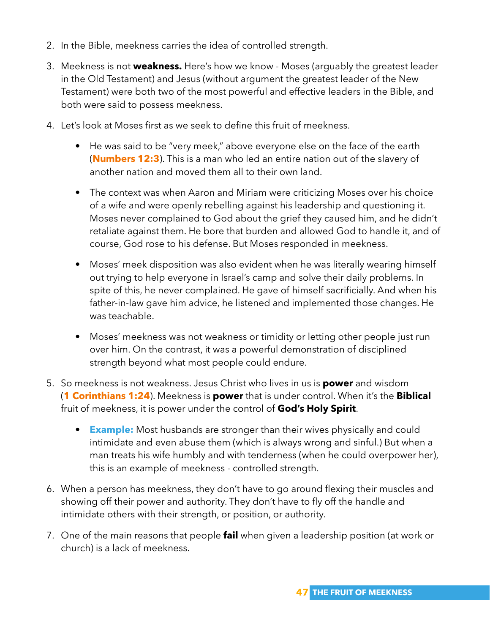- 2. In the Bible, meekness carries the idea of controlled strength.
- 3. Meekness is not **weakness.** Here's how we know Moses (arguably the greatest leader in the Old Testament) and Jesus (without argument the greatest leader of the New Testament) were both two of the most powerful and effective leaders in the Bible, and both were said to possess meekness.
- 4. Let's look at Moses first as we seek to define this fruit of meekness.
	- He was said to be "very meek," above everyone else on the face of the earth (**Numbers 12:3**). This is a man who led an entire nation out of the slavery of another nation and moved them all to their own land.
	- The context was when Aaron and Miriam were criticizing Moses over his choice of a wife and were openly rebelling against his leadership and questioning it. Moses never complained to God about the grief they caused him, and he didn't retaliate against them. He bore that burden and allowed God to handle it, and of course, God rose to his defense. But Moses responded in meekness.
	- Moses' meek disposition was also evident when he was literally wearing himself out trying to help everyone in Israel's camp and solve their daily problems. In spite of this, he never complained. He gave of himself sacrificially. And when his father-in-law gave him advice, he listened and implemented those changes. He was teachable.
	- Moses' meekness was not weakness or timidity or letting other people just run over him. On the contrast, it was a powerful demonstration of disciplined strength beyond what most people could endure.
- 5. So meekness is not weakness. Jesus Christ who lives in us is **power** and wisdom (**1 Corinthians 1:24**). Meekness is **power** that is under control. When it's the **Biblical** fruit of meekness, it is power under the control of **God's Holy Spirit**.
	- **Example:** Most husbands are stronger than their wives physically and could intimidate and even abuse them (which is always wrong and sinful.) But when a man treats his wife humbly and with tenderness (when he could overpower her), this is an example of meekness - controlled strength.
- 6. When a person has meekness, they don't have to go around flexing their muscles and showing off their power and authority. They don't have to fly off the handle and intimidate others with their strength, or position, or authority.
- 7. One of the main reasons that people **fail** when given a leadership position (at work or church) is a lack of meekness.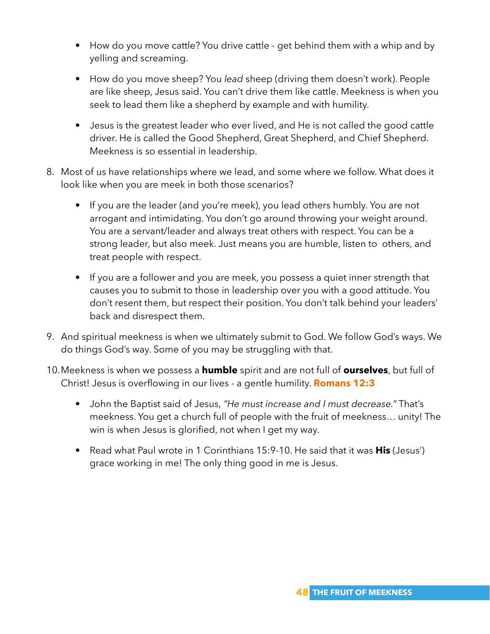- How do you move cattle? You drive cattle get behind them with a whip and by yelling and screaming.
- How do you move sheep? You *lead* sheep (driving them doesn't work). People are like sheep, Jesus said. You can't drive them like cattle. Meekness is when you seek to lead them like a shepherd by example and with humility.
- Jesus is the greatest leader who ever lived, and He is not called the good cattle driver. He is called the Good Shepherd, Great Shepherd, and Chief Shepherd. Meekness is so essential in leadership.
- 8. Most of us have relationships where we lead, and some where we follow. What does it look like when you are meek in both those scenarios?
	- If you are the leader (and you're meek), you lead others humbly. You are not arrogant and intimidating. You don't go around throwing your weight around. You are a servant/leader and always treat others with respect. You can be a strong leader, but also meek. Just means you are humble, listen to others, and treat people with respect.
	- If you are a follower and you are meek, you possess a quiet inner strength that causes you to submit to those in leadership over you with a good attitude. You don't resent them, but respect their position. You don't talk behind your leaders' back and disrespect them.
- 9. And spiritual meekness is when we ultimately submit to God. We follow God's ways. We do things God's way. Some of you may be struggling with that.
- 10.Meekness is when we possess a **humble** spirit and are not full of **ourselves**, but full of Christ! Jesus is overflowing in our lives - a gentle humility. **Romans 12:3**
	- John the Baptist said of Jesus, *"He must increase and I must decrease."* That's meekness. You get a church full of people with the fruit of meekness… unity! The win is when Jesus is glorified, not when I get my way.
	- Read what Paul wrote in 1 Corinthians 15:9-10. He said that it was **His** (Jesus') grace working in me! The only thing good in me is Jesus.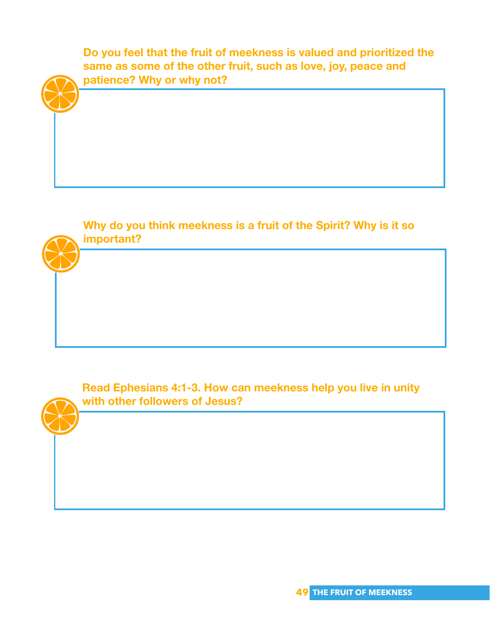**Do you feel that the fruit of meekness is valued and prioritized the same as some of the other fruit, such as love, joy, peace and patience? Why or why not?**

**Why do you think meekness is a fruit of the Spirit? Why is it so important?**

**Read Ephesians 4:1-3. How can meekness help you live in unity with other followers of Jesus?**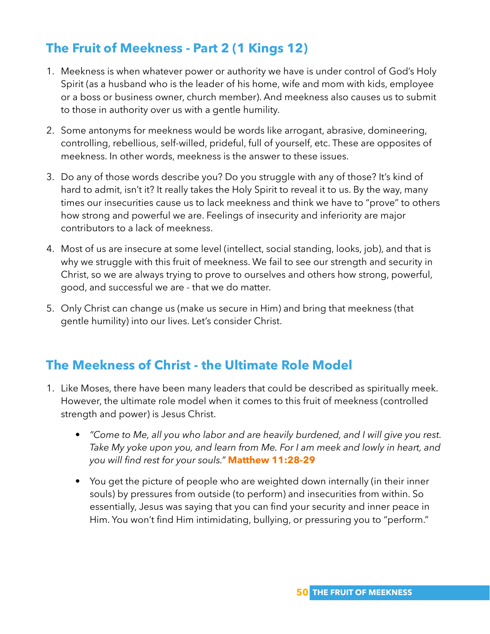## **The Fruit of Meekness - Part 2 (1 Kings 12)**

- 1. Meekness is when whatever power or authority we have is under control of God's Holy Spirit (as a husband who is the leader of his home, wife and mom with kids, employee or a boss or business owner, church member). And meekness also causes us to submit to those in authority over us with a gentle humility.
- 2. Some antonyms for meekness would be words like arrogant, abrasive, domineering, controlling, rebellious, self-willed, prideful, full of yourself, etc. These are opposites of meekness. In other words, meekness is the answer to these issues.
- 3. Do any of those words describe you? Do you struggle with any of those? It's kind of hard to admit, isn't it? It really takes the Holy Spirit to reveal it to us. By the way, many times our insecurities cause us to lack meekness and think we have to "prove" to others how strong and powerful we are. Feelings of insecurity and inferiority are major contributors to a lack of meekness.
- 4. Most of us are insecure at some level (intellect, social standing, looks, job), and that is why we struggle with this fruit of meekness. We fail to see our strength and security in Christ, so we are always trying to prove to ourselves and others how strong, powerful, good, and successful we are - that we do matter.
- 5. Only Christ can change us (make us secure in Him) and bring that meekness (that gentle humility) into our lives. Let's consider Christ.

## **The Meekness of Christ - the Ultimate Role Model**

- 1. Like Moses, there have been many leaders that could be described as spiritually meek. However, the ultimate role model when it comes to this fruit of meekness (controlled strength and power) is Jesus Christ.
	- *"Come to Me, all you who labor and are heavily burdened, and I will give you rest. Take My yoke upon you, and learn from Me. For I am meek and lowly in heart, and you will find rest for your souls."* **Matthew 11:28-29**
	- You get the picture of people who are weighted down internally (in their inner souls) by pressures from outside (to perform) and insecurities from within. So essentially, Jesus was saying that you can find your security and inner peace in Him. You won't find Him intimidating, bullying, or pressuring you to "perform."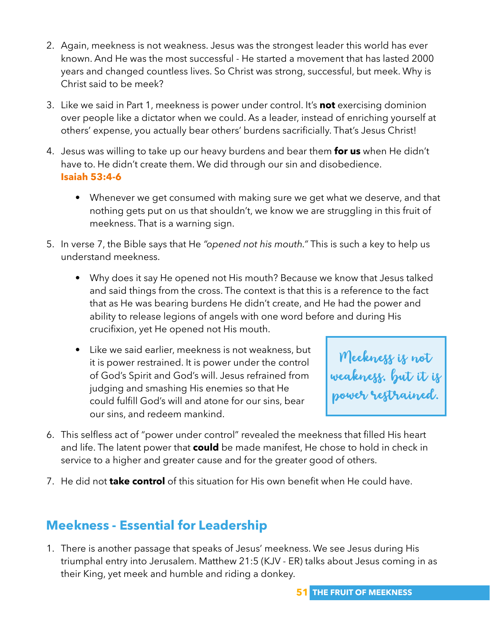- 2. Again, meekness is not weakness. Jesus was the strongest leader this world has ever known. And He was the most successful - He started a movement that has lasted 2000 years and changed countless lives. So Christ was strong, successful, but meek. Why is Christ said to be meek?
- 3. Like we said in Part 1, meekness is power under control. It's **not** exercising dominion over people like a dictator when we could. As a leader, instead of enriching yourself at others' expense, you actually bear others' burdens sacrificially. That's Jesus Christ!
- 4. Jesus was willing to take up our heavy burdens and bear them **for us** when He didn't have to. He didn't create them. We did through our sin and disobedience. **Isaiah 53:4-6**
	- Whenever we get consumed with making sure we get what we deserve, and that nothing gets put on us that shouldn't, we know we are struggling in this fruit of meekness. That is a warning sign.
- 5. In verse 7, the Bible says that He *"opened not his mouth."* This is such a key to help us understand meekness.
	- Why does it say He opened not His mouth? Because we know that Jesus talked and said things from the cross. The context is that this is a reference to the fact that as He was bearing burdens He didn't create, and He had the power and ability to release legions of angels with one word before and during His crucifixion, yet He opened not His mouth.
	- Like we said earlier, meekness is not weakness, but it is power restrained. It is power under the control of God's Spirit and God's will. Jesus refrained from judging and smashing His enemies so that He could fulfill God's will and atone for our sins, bear our sins, and redeem mankind.

Meekness is not weakness, but it is <mark>l</mark> power restrained.

- 6. This selfless act of "power under control" revealed the meekness that filled His heart and life. The latent power that **could** be made manifest, He chose to hold in check in service to a higher and greater cause and for the greater good of others.
- 7. He did not **take control** of this situation for His own benefit when He could have.

## **Meekness - Essential for Leadership**

1. There is another passage that speaks of Jesus' meekness. We see Jesus during His triumphal entry into Jerusalem. Matthew 21:5 (KJV - ER) talks about Jesus coming in as their King, yet meek and humble and riding a donkey.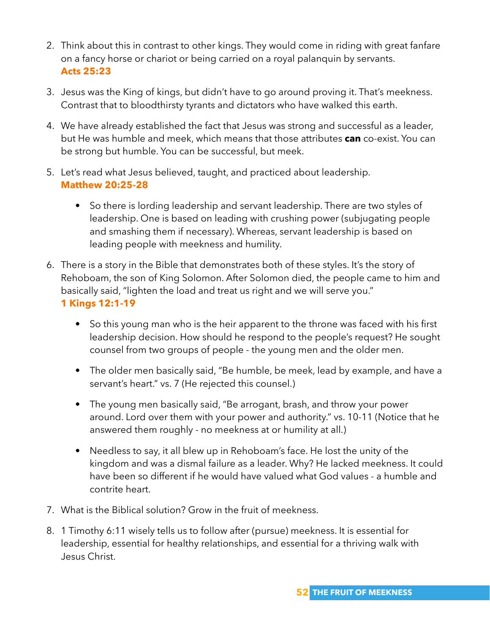- 2. Think about this in contrast to other kings. They would come in riding with great fanfare on a fancy horse or chariot or being carried on a royal palanquin by servants. **Acts 25:23**
- 3. Jesus was the King of kings, but didn't have to go around proving it. That's meekness. Contrast that to bloodthirsty tyrants and dictators who have walked this earth.
- 4. We have already established the fact that Jesus was strong and successful as a leader, but He was humble and meek, which means that those attributes **can** co-exist. You can be strong but humble. You can be successful, but meek.
- 5. Let's read what Jesus believed, taught, and practiced about leadership. **Matthew 20:25-28**
	- So there is lording leadership and servant leadership. There are two styles of leadership. One is based on leading with crushing power (subjugating people and smashing them if necessary). Whereas, servant leadership is based on leading people with meekness and humility.
- 6. There is a story in the Bible that demonstrates both of these styles. It's the story of Rehoboam, the son of King Solomon. After Solomon died, the people came to him and basically said, "lighten the load and treat us right and we will serve you." **1 Kings 12:1-19**
	- So this young man who is the heir apparent to the throne was faced with his first leadership decision. How should he respond to the people's request? He sought counsel from two groups of people - the young men and the older men.
	- The older men basically said, "Be humble, be meek, lead by example, and have a servant's heart." vs. 7 (He rejected this counsel.)
	- The young men basically said, "Be arrogant, brash, and throw your power around. Lord over them with your power and authority." vs. 10-11 (Notice that he answered them roughly - no meekness at or humility at all.)
	- Needless to say, it all blew up in Rehoboam's face. He lost the unity of the kingdom and was a dismal failure as a leader. Why? He lacked meekness. It could have been so different if he would have valued what God values - a humble and contrite heart.
- 7. What is the Biblical solution? Grow in the fruit of meekness.
- 8. 1 Timothy 6:11 wisely tells us to follow after (pursue) meekness. It is essential for leadership, essential for healthy relationships, and essential for a thriving walk with Jesus Christ.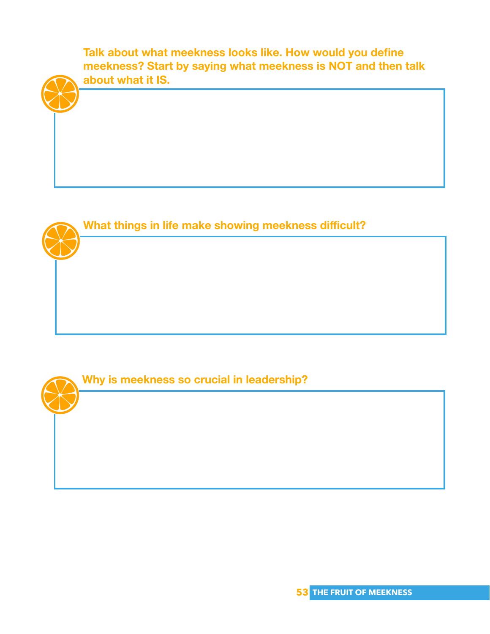**Talk about what meekness looks like. How would you define meekness? Start by saying what meekness is NOT and then talk about what it IS.**



**What things in life make showing meekness difficult?**

#### **Why is meekness so crucial in leadership?**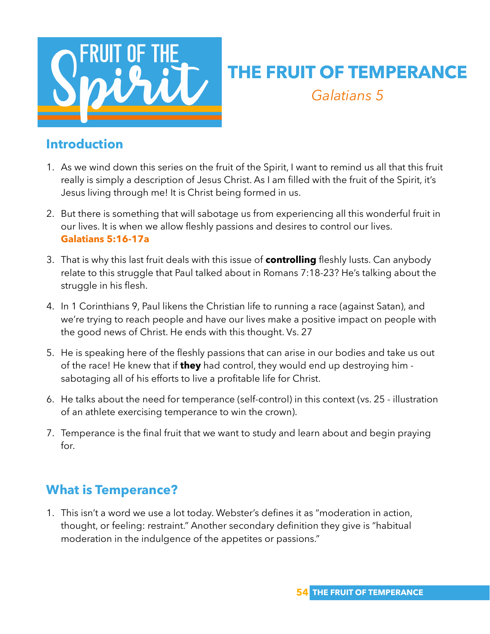

# **THE FRUIT OF TEMPERANCE** *Galatians 5*

#### **Introduction**

- 1. As we wind down this series on the fruit of the Spirit, I want to remind us all that this fruit really is simply a description of Jesus Christ. As I am filled with the fruit of the Spirit, it's Jesus living through me! It is Christ being formed in us.
- 2. But there is something that will sabotage us from experiencing all this wonderful fruit in our lives. It is when we allow fleshly passions and desires to control our lives. **Galatians 5:16-17a**
- 3. That is why this last fruit deals with this issue of **controlling** fleshly lusts. Can anybody relate to this struggle that Paul talked about in Romans 7:18-23? He's talking about the struggle in his flesh.
- 4. In 1 Corinthians 9, Paul likens the Christian life to running a race (against Satan), and we're trying to reach people and have our lives make a positive impact on people with the good news of Christ. He ends with this thought. Vs. 27
- 5. He is speaking here of the fleshly passions that can arise in our bodies and take us out of the race! He knew that if **they** had control, they would end up destroying him sabotaging all of his efforts to live a profitable life for Christ.
- 6. He talks about the need for temperance (self-control) in this context (vs. 25 illustration of an athlete exercising temperance to win the crown).
- 7. Temperance is the final fruit that we want to study and learn about and begin praying for.

## **What is Temperance?**

1. This isn't a word we use a lot today. Webster's defines it as "moderation in action, thought, or feeling: restraint." Another secondary definition they give is "habitual moderation in the indulgence of the appetites or passions."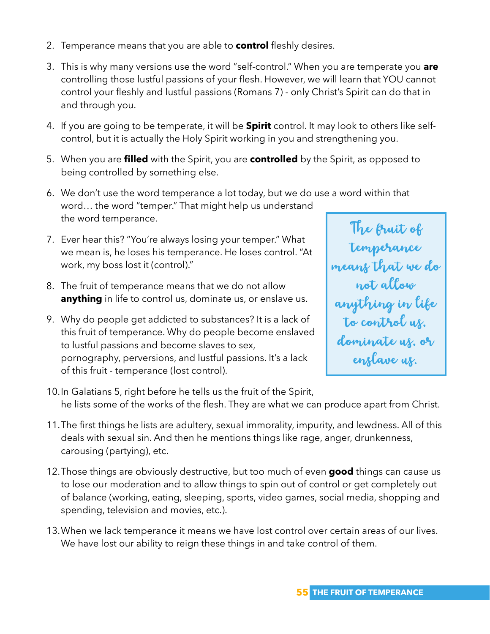- 2. Temperance means that you are able to **control** fleshly desires.
- 3. This is why many versions use the word "self-control." When you are temperate you **are** controlling those lustful passions of your flesh. However, we will learn that YOU cannot control your fleshly and lustful passions (Romans 7) - only Christ's Spirit can do that in and through you.
- 4. If you are going to be temperate, it will be **Spirit** control. It may look to others like selfcontrol, but it is actually the Holy Spirit working in you and strengthening you.
- 5. When you are **filled** with the Spirit, you are **controlled** by the Spirit, as opposed to being controlled by something else.
- 6. We don't use the word temperance a lot today, but we do use a word within that word… the word "temper." That might help us understand the word temperance.
- 7. Ever hear this? "You're always losing your temper." What we mean is, he loses his temperance. He loses control. "At work, my boss lost it (control)."
- 8. The fruit of temperance means that we do not allow **anything** in life to control us, dominate us, or enslave us.
- 9. Why do people get addicted to substances? It is a lack of this fruit of temperance. Why do people become enslaved to lustful passions and become slaves to sex, pornography, perversions, and lustful passions. It's a lack of this fruit - temperance (lost control).



- 10.In Galatians 5, right before he tells us the fruit of the Spirit, he lists some of the works of the flesh. They are what we can produce apart from Christ.
- 11.The first things he lists are adultery, sexual immorality, impurity, and lewdness. All of this deals with sexual sin. And then he mentions things like rage, anger, drunkenness, carousing (partying), etc.
- 12.Those things are obviously destructive, but too much of even **good** things can cause us to lose our moderation and to allow things to spin out of control or get completely out of balance (working, eating, sleeping, sports, video games, social media, shopping and spending, television and movies, etc.).
- 13.When we lack temperance it means we have lost control over certain areas of our lives. We have lost our ability to reign these things in and take control of them.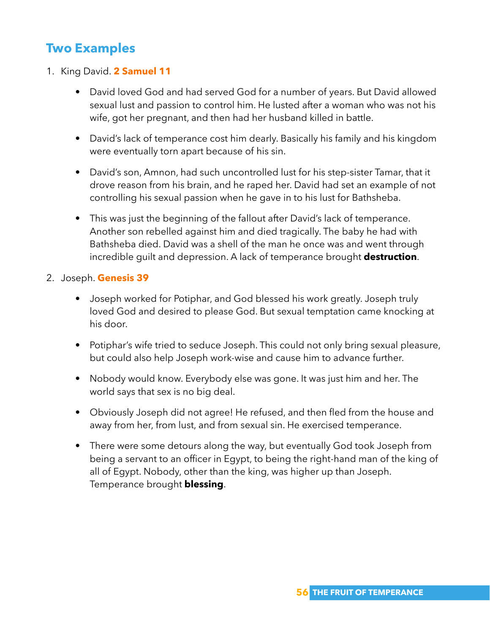## **Two Examples**

- 1. King David. **2 Samuel 11**
	- David loved God and had served God for a number of years. But David allowed sexual lust and passion to control him. He lusted after a woman who was not his wife, got her pregnant, and then had her husband killed in battle.
	- David's lack of temperance cost him dearly. Basically his family and his kingdom were eventually torn apart because of his sin.
	- David's son, Amnon, had such uncontrolled lust for his step-sister Tamar, that it drove reason from his brain, and he raped her. David had set an example of not controlling his sexual passion when he gave in to his lust for Bathsheba.
	- This was just the beginning of the fallout after David's lack of temperance. Another son rebelled against him and died tragically. The baby he had with Bathsheba died. David was a shell of the man he once was and went through incredible guilt and depression. A lack of temperance brought **destruction**.

#### 2. Joseph. **Genesis 39**

- Joseph worked for Potiphar, and God blessed his work greatly. Joseph truly loved God and desired to please God. But sexual temptation came knocking at his door.
- Potiphar's wife tried to seduce Joseph. This could not only bring sexual pleasure, but could also help Joseph work-wise and cause him to advance further.
- Nobody would know. Everybody else was gone. It was just him and her. The world says that sex is no big deal.
- Obviously Joseph did not agree! He refused, and then fled from the house and away from her, from lust, and from sexual sin. He exercised temperance.
- There were some detours along the way, but eventually God took Joseph from being a servant to an officer in Egypt, to being the right-hand man of the king of all of Egypt. Nobody, other than the king, was higher up than Joseph. Temperance brought **blessing**.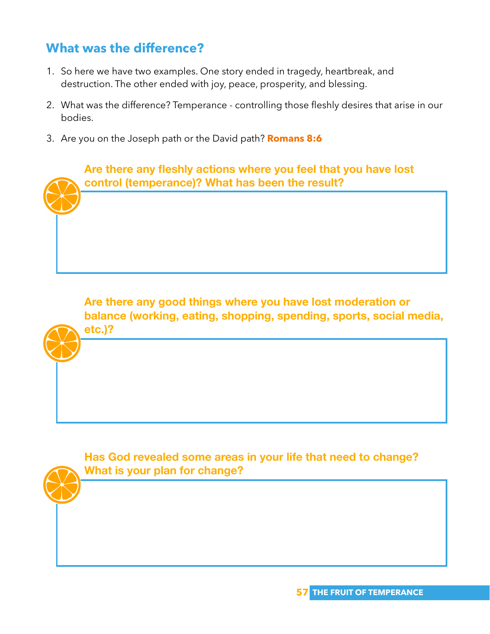## **What was the difference?**

- 1. So here we have two examples. One story ended in tragedy, heartbreak, and destruction. The other ended with joy, peace, prosperity, and blessing.
- 2. What was the difference? Temperance controlling those fleshly desires that arise in our bodies.
- 3. Are you on the Joseph path or the David path? **Romans 8:6**

**Are there any fleshly actions where you feel that you have lost control (temperance)? What has been the result?**

**Are there any good things where you have lost moderation or balance (working, eating, shopping, spending, sports, social media, etc.)?**

**Has God revealed some areas in your life that need to change? What is your plan for change?**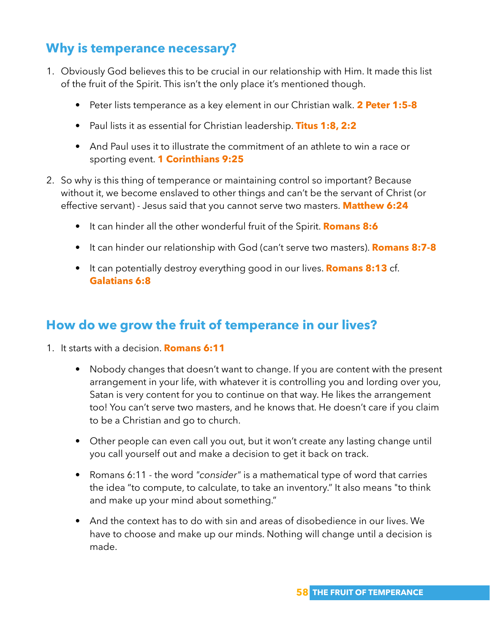## **Why is temperance necessary?**

- 1. Obviously God believes this to be crucial in our relationship with Him. It made this list of the fruit of the Spirit. This isn't the only place it's mentioned though.
	- Peter lists temperance as a key element in our Christian walk. **2 Peter 1:5-8**
	- Paul lists it as essential for Christian leadership. **Titus 1:8, 2:2**
	- And Paul uses it to illustrate the commitment of an athlete to win a race or sporting event. **1 Corinthians 9:25**
- 2. So why is this thing of temperance or maintaining control so important? Because without it, we become enslaved to other things and can't be the servant of Christ (or effective servant) - Jesus said that you cannot serve two masters. **Matthew 6:24**
	- It can hinder all the other wonderful fruit of the Spirit. **Romans 8:6**
	- It can hinder our relationship with God (can't serve two masters). **Romans 8:7-8**
	- It can potentially destroy everything good in our lives. **Romans 8:13** cf. **Galatians 6:8**

#### **How do we grow the fruit of temperance in our lives?**

- 1. It starts with a decision. **Romans 6:11**
	- Nobody changes that doesn't want to change. If you are content with the present arrangement in your life, with whatever it is controlling you and lording over you, Satan is very content for you to continue on that way. He likes the arrangement too! You can't serve two masters, and he knows that. He doesn't care if you claim to be a Christian and go to church.
	- Other people can even call you out, but it won't create any lasting change until you call yourself out and make a decision to get it back on track.
	- Romans 6:11 the word *"consider"* is a mathematical type of word that carries the idea "to compute, to calculate, to take an inventory." It also means "to think and make up your mind about something."
	- And the context has to do with sin and areas of disobedience in our lives. We have to choose and make up our minds. Nothing will change until a decision is made.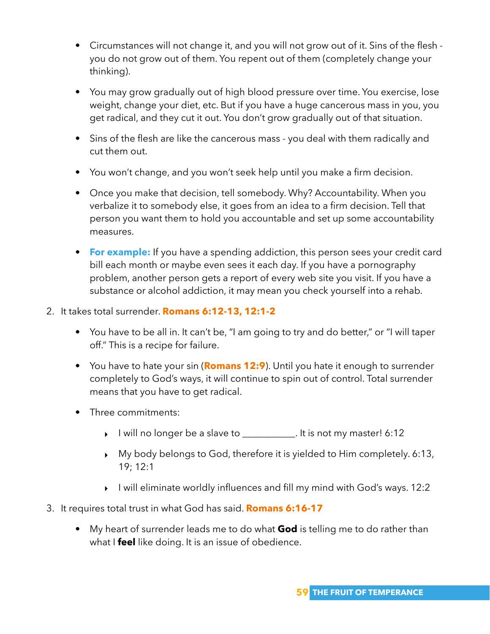- Circumstances will not change it, and you will not grow out of it. Sins of the flesh you do not grow out of them. You repent out of them (completely change your thinking).
- You may grow gradually out of high blood pressure over time. You exercise, lose weight, change your diet, etc. But if you have a huge cancerous mass in you, you get radical, and they cut it out. You don't grow gradually out of that situation.
- Sins of the flesh are like the cancerous mass you deal with them radically and cut them out.
- You won't change, and you won't seek help until you make a firm decision.
- Once you make that decision, tell somebody. Why? Accountability. When you verbalize it to somebody else, it goes from an idea to a firm decision. Tell that person you want them to hold you accountable and set up some accountability measures.
- **For example:** If you have a spending addiction, this person sees your credit card bill each month or maybe even sees it each day. If you have a pornography problem, another person gets a report of every web site you visit. If you have a substance or alcohol addiction, it may mean you check yourself into a rehab.
- 2. It takes total surrender. **Romans 6:12-13, 12:1-2**
	- You have to be all in. It can't be, "I am going to try and do better," or "I will taper off." This is a recipe for failure.
	- You have to hate your sin (**Romans 12:9**). Until you hate it enough to surrender completely to God's ways, it will continue to spin out of control. Total surrender means that you have to get radical.
	- Three commitments:
		- ‣ I will no longer be a slave to \_\_\_\_\_\_\_\_\_\_\_. It is not my master! 6:12
		- ‣ My body belongs to God, therefore it is yielded to Him completely. 6:13, 19; 12:1
		- ‣ I will eliminate worldly influences and fill my mind with God's ways. 12:2
- 3. It requires total trust in what God has said. **Romans 6:16-17**
	- My heart of surrender leads me to do what **God** is telling me to do rather than what I **feel** like doing. It is an issue of obedience.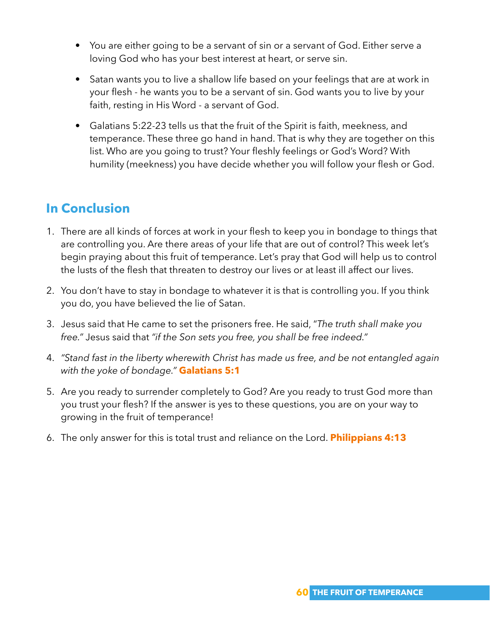- You are either going to be a servant of sin or a servant of God. Either serve a loving God who has your best interest at heart, or serve sin.
- Satan wants you to live a shallow life based on your feelings that are at work in your flesh - he wants you to be a servant of sin. God wants you to live by your faith, resting in His Word - a servant of God.
- Galatians 5:22-23 tells us that the fruit of the Spirit is faith, meekness, and temperance. These three go hand in hand. That is why they are together on this list. Who are you going to trust? Your fleshly feelings or God's Word? With humility (meekness) you have decide whether you will follow your flesh or God.

## **In Conclusion**

- 1. There are all kinds of forces at work in your flesh to keep you in bondage to things that are controlling you. Are there areas of your life that are out of control? This week let's begin praying about this fruit of temperance. Let's pray that God will help us to control the lusts of the flesh that threaten to destroy our lives or at least ill affect our lives.
- 2. You don't have to stay in bondage to whatever it is that is controlling you. If you think you do, you have believed the lie of Satan.
- 3. Jesus said that He came to set the prisoners free. He said, "*The truth shall make you free."* Jesus said that *"if the Son sets you free, you shall be free indeed."*
- 4. *"Stand fast in the liberty wherewith Christ has made us free, and be not entangled again with the yoke of bondage."* **Galatians 5:1**
- 5. Are you ready to surrender completely to God? Are you ready to trust God more than you trust your flesh? If the answer is yes to these questions, you are on your way to growing in the fruit of temperance!
- 6. The only answer for this is total trust and reliance on the Lord. **Philippians 4:13**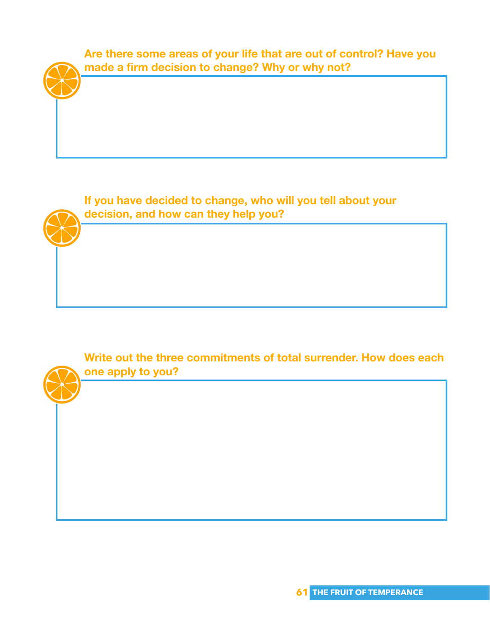

**If you have decided to change, who will you tell about your decision, and how can they help you?**

**Write out the three commitments of total surrender. How does each one apply to you?**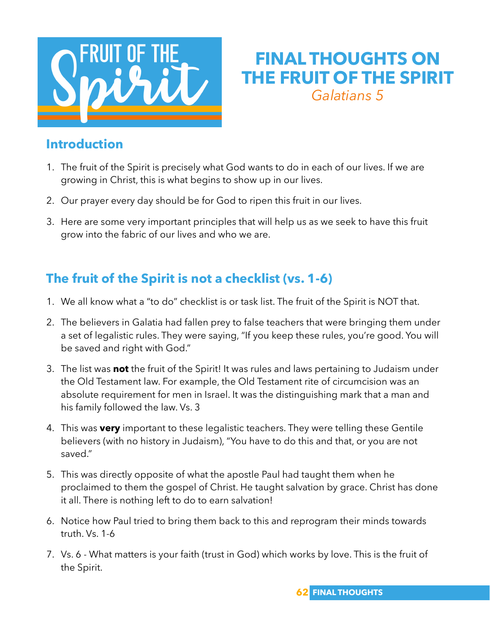

## **FINAL THOUGHTS ON THE FRUIT OF THE SPIRIT** *Galatians 5*

#### **Introduction**

- 1. The fruit of the Spirit is precisely what God wants to do in each of our lives. If we are growing in Christ, this is what begins to show up in our lives.
- 2. Our prayer every day should be for God to ripen this fruit in our lives.
- 3. Here are some very important principles that will help us as we seek to have this fruit grow into the fabric of our lives and who we are.

## **The fruit of the Spirit is not a checklist (vs. 1-6)**

- 1. We all know what a "to do" checklist is or task list. The fruit of the Spirit is NOT that.
- 2. The believers in Galatia had fallen prey to false teachers that were bringing them under a set of legalistic rules. They were saying, "If you keep these rules, you're good. You will be saved and right with God."
- 3. The list was **not** the fruit of the Spirit! It was rules and laws pertaining to Judaism under the Old Testament law. For example, the Old Testament rite of circumcision was an absolute requirement for men in Israel. It was the distinguishing mark that a man and his family followed the law. Vs. 3
- 4. This was **very** important to these legalistic teachers. They were telling these Gentile believers (with no history in Judaism), "You have to do this and that, or you are not saved."
- 5. This was directly opposite of what the apostle Paul had taught them when he proclaimed to them the gospel of Christ. He taught salvation by grace. Christ has done it all. There is nothing left to do to earn salvation!
- 6. Notice how Paul tried to bring them back to this and reprogram their minds towards truth. Vs. 1-6
- 7. Vs. 6 What matters is your faith (trust in God) which works by love. This is the fruit of the Spirit.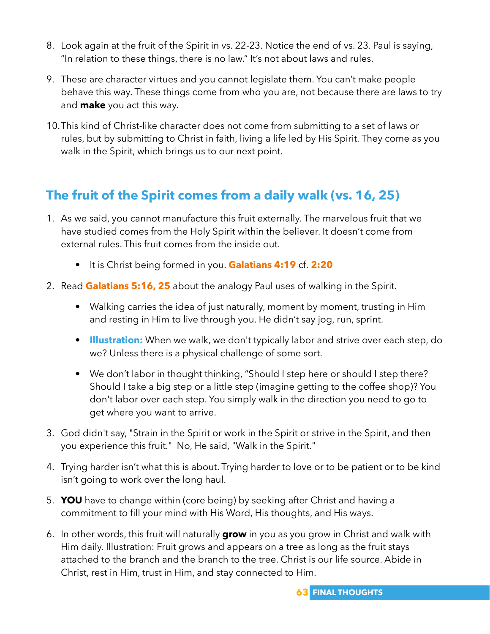- 8. Look again at the fruit of the Spirit in vs. 22-23. Notice the end of vs. 23. Paul is saying, "In relation to these things, there is no law." It's not about laws and rules.
- 9. These are character virtues and you cannot legislate them. You can't make people behave this way. These things come from who you are, not because there are laws to try and **make** you act this way.
- 10.This kind of Christ-like character does not come from submitting to a set of laws or rules, but by submitting to Christ in faith, living a life led by His Spirit. They come as you walk in the Spirit, which brings us to our next point.

## **The fruit of the Spirit comes from a daily walk (vs. 16, 25)**

- 1. As we said, you cannot manufacture this fruit externally. The marvelous fruit that we have studied comes from the Holy Spirit within the believer. It doesn't come from external rules. This fruit comes from the inside out.
	- It is Christ being formed in you. **Galatians 4:19** cf. **2:20**
- 2. Read **Galatians 5:16, 25** about the analogy Paul uses of walking in the Spirit.
	- Walking carries the idea of just naturally, moment by moment, trusting in Him and resting in Him to live through you. He didn't say jog, run, sprint.
	- **Illustration:** When we walk, we don't typically labor and strive over each step, do we? Unless there is a physical challenge of some sort.
	- We don't labor in thought thinking, "Should I step here or should I step there? Should I take a big step or a little step (imagine getting to the coffee shop)? You don't labor over each step. You simply walk in the direction you need to go to get where you want to arrive.
- 3. God didn't say, "Strain in the Spirit or work in the Spirit or strive in the Spirit, and then you experience this fruit." No, He said, "Walk in the Spirit."
- 4. Trying harder isn't what this is about. Trying harder to love or to be patient or to be kind isn't going to work over the long haul.
- 5. **YOU** have to change within (core being) by seeking after Christ and having a commitment to fill your mind with His Word, His thoughts, and His ways.
- 6. In other words, this fruit will naturally **grow** in you as you grow in Christ and walk with Him daily. Illustration: Fruit grows and appears on a tree as long as the fruit stays attached to the branch and the branch to the tree. Christ is our life source. Abide in Christ, rest in Him, trust in Him, and stay connected to Him.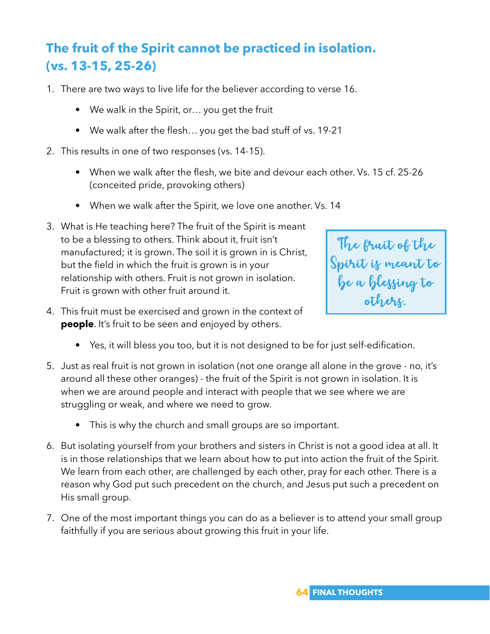## **The fruit of the Spirit cannot be practiced in isolation. (vs. 13-15, 25-26)**

- 1. There are two ways to live life for the believer according to verse 16.
	- We walk in the Spirit, or… you get the fruit
	- We walk after the flesh… you get the bad stuff of vs. 19-21
- 2. This results in one of two responses (vs. 14-15).
	- When we walk after the flesh, we bite and devour each other. Vs. 15 cf. 25-26 (conceited pride, provoking others)
	- When we walk after the Spirit, we love one another. Vs. 14
- 3. What is He teaching here? The fruit of the Spirit is meant to be a blessing to others. Think about it, fruit isn't manufactured; it is grown. The soil it is grown in is Christ, but the field in which the fruit is grown is in your relationship with others. Fruit is not grown in isolation. Fruit is grown with other fruit around it.



- 4. This fruit must be exercised and grown in the context of **people**. It's fruit to be seen and enjoyed by others.
	- Yes, it will bless you too, but it is not designed to be for just self-edification.
- 5. Just as real fruit is not grown in isolation (not one orange all alone in the grove no, it's around all these other oranges) - the fruit of the Spirit is not grown in isolation. It is when we are around people and interact with people that we see where we are struggling or weak, and where we need to grow.
	- This is why the church and small groups are so important.
- 6. But isolating yourself from your brothers and sisters in Christ is not a good idea at all. It is in those relationships that we learn about how to put into action the fruit of the Spirit. We learn from each other, are challenged by each other, pray for each other. There is a reason why God put such precedent on the church, and Jesus put such a precedent on His small group.
- 7. One of the most important things you can do as a believer is to attend your small group faithfully if you are serious about growing this fruit in your life.